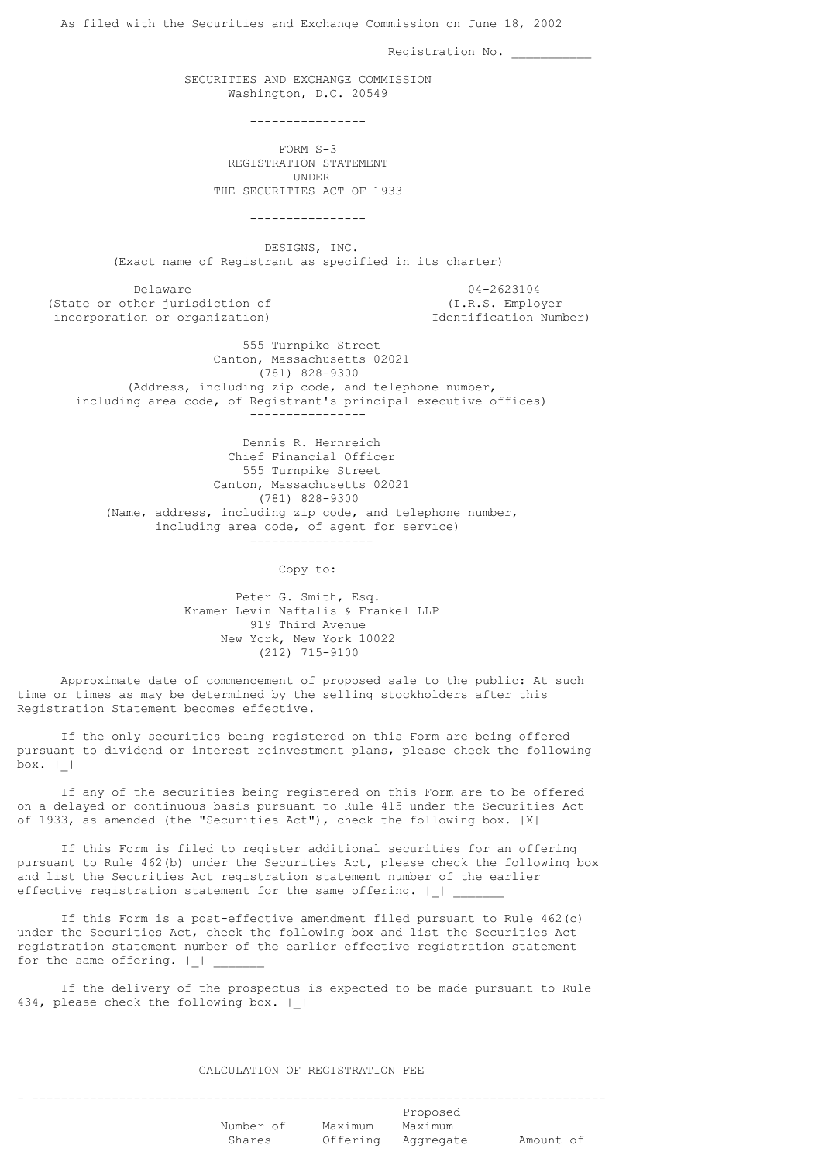As filed with the Securities and Exchange Commission on June 18, 2002 Registration No. SECURITIES AND EXCHANGE COMMISSION Washington, D.C. 20549 ---------------- FORM S-3 REGISTRATION STATEMENT UNDER THE SECURITIES ACT OF 1933 ---------------- DESIGNS, INC. (Exact name of Registrant as specified in its charter) Delaware 04-2623104 (State or other jurisdiction of (I.R.S. Employer incorporation or organization) Identification Number) 555 Turnpike Street Canton, Massachusetts 02021 (781) 828-9300 (Address, including zip code, and telephone number, including area code, of Registrant's principal executive offices) ---------------- Dennis R. Hernreich Chief Financial Officer 555 Turnpike Street Canton, Massachusetts 02021 (781) 828-9300 (Name, address, including zip code, and telephone number, including area code, of agent for service) ----------------- Copy to: Peter G. Smith, Esq. Kramer Levin Naftalis & Frankel LLP 919 Third Avenue New York, New York 10022 (212) 715-9100 Approximate date of commencement of proposed sale to the public: At such time or times as may be determined by the selling stockholders after this Registration Statement becomes effective. If the only securities being registered on this Form are being offered pursuant to dividend or interest reinvestment plans, please check the following box.  $|$ 

 If any of the securities being registered on this Form are to be offered on a delayed or continuous basis pursuant to Rule 415 under the Securities Act of 1933, as amended (the "Securities Act"), check the following box. |X|

 If this Form is filed to register additional securities for an offering pursuant to Rule 462(b) under the Securities Act, please check the following box and list the Securities Act registration statement number of the earlier effective registration statement for the same offering.  $|$   $|$ 

 If this Form is a post-effective amendment filed pursuant to Rule 462(c) under the Securities Act, check the following box and list the Securities Act registration statement number of the earlier effective registration statement for the same offering.  $|$   $|$ 

 If the delivery of the prospectus is expected to be made pursuant to Rule 434, please check the following box. | |

# CALCULATION OF REGISTRATION FEE

- ------------------------------------------------------------------------------- Proposed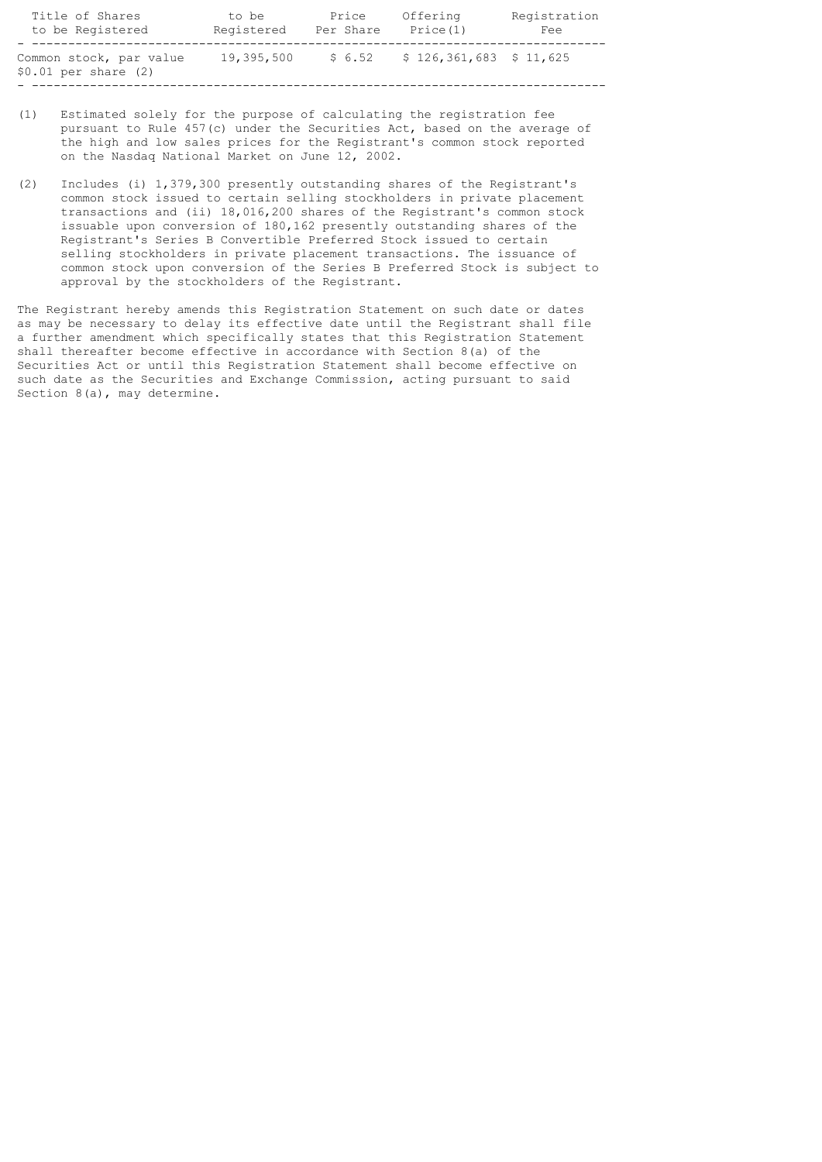| Title of Shares                                    | to be      | Price     | Offering                  | Registration |
|----------------------------------------------------|------------|-----------|---------------------------|--------------|
| to be Registered                                   | Registered | Per Share | Price (1)                 | Fee          |
| Common stock, par value<br>$$0.01$ per share $(2)$ | 19,395,500 | \$6.52    | $$126,361,683$$ $$11,625$ |              |

- (1) Estimated solely for the purpose of calculating the registration fee pursuant to Rule 457(c) under the Securities Act, based on the average of the high and low sales prices for the Registrant's common stock reported on the Nasdaq National Market on June 12, 2002.
- (2) Includes (i) 1,379,300 presently outstanding shares of the Registrant's common stock issued to certain selling stockholders in private placement transactions and (ii) 18,016,200 shares of the Registrant's common stock issuable upon conversion of 180,162 presently outstanding shares of the Registrant's Series B Convertible Preferred Stock issued to certain selling stockholders in private placement transactions. The issuance of common stock upon conversion of the Series B Preferred Stock is subject to approval by the stockholders of the Registrant.

The Registrant hereby amends this Registration Statement on such date or dates as may be necessary to delay its effective date until the Registrant shall file a further amendment which specifically states that this Registration Statement shall thereafter become effective in accordance with Section 8(a) of the Securities Act or until this Registration Statement shall become effective on such date as the Securities and Exchange Commission, acting pursuant to said Section 8(a), may determine.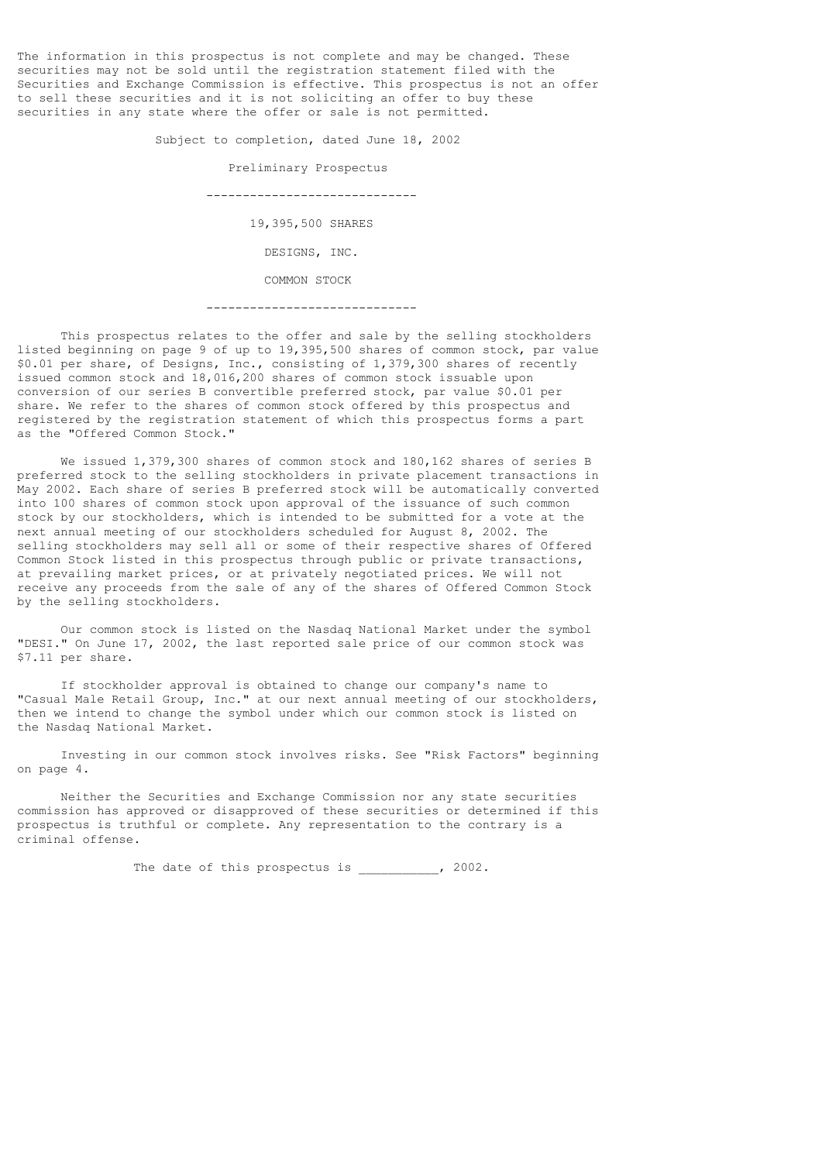The information in this prospectus is not complete and may be changed. These securities may not be sold until the registration statement filed with the Securities and Exchange Commission is effective. This prospectus is not an offer to sell these securities and it is not soliciting an offer to buy these securities in any state where the offer or sale is not permitted.

> Subject to completion, dated June 18, 2002 Preliminary Prospectus ----------------------------- 19,395,500 SHARES DESIGNS, INC. COMMON STOCK -----------------------------

 This prospectus relates to the offer and sale by the selling stockholders listed beginning on page 9 of up to 19,395,500 shares of common stock, par value \$0.01 per share, of Designs, Inc., consisting of 1,379,300 shares of recently issued common stock and 18,016,200 shares of common stock issuable upon conversion of our series B convertible preferred stock, par value \$0.01 per share. We refer to the shares of common stock offered by this prospectus and registered by the registration statement of which this prospectus forms a part as the "Offered Common Stock."

We issued 1,379,300 shares of common stock and 180,162 shares of series B preferred stock to the selling stockholders in private placement transactions in May 2002. Each share of series B preferred stock will be automatically converted into 100 shares of common stock upon approval of the issuance of such common stock by our stockholders, which is intended to be submitted for a vote at the next annual meeting of our stockholders scheduled for August 8, 2002. The selling stockholders may sell all or some of their respective shares of Offered Common Stock listed in this prospectus through public or private transactions, at prevailing market prices, or at privately negotiated prices. We will not receive any proceeds from the sale of any of the shares of Offered Common Stock by the selling stockholders.

 Our common stock is listed on the Nasdaq National Market under the symbol "DESI." On June 17, 2002, the last reported sale price of our common stock was \$7.11 per share.

 If stockholder approval is obtained to change our company's name to "Casual Male Retail Group, Inc." at our next annual meeting of our stockholders, then we intend to change the symbol under which our common stock is listed on the Nasdaq National Market.

 Investing in our common stock involves risks. See "Risk Factors" beginning on page 4.

 Neither the Securities and Exchange Commission nor any state securities commission has approved or disapproved of these securities or determined if this prospectus is truthful or complete. Any representation to the contrary is a criminal offense.

The date of this prospectus is \_\_\_\_\_\_\_\_\_\_, 2002.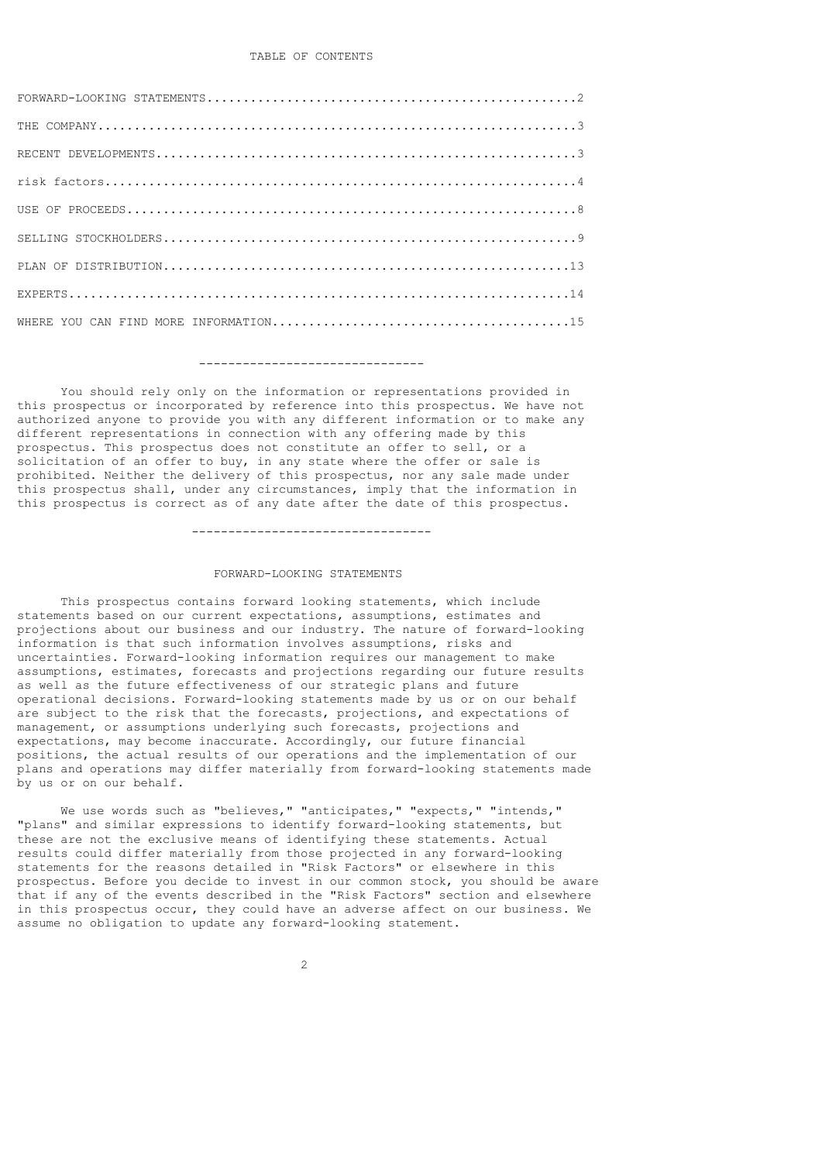# TABLE OF CONTENTS

#### -------------------------------

 You should rely only on the information or representations provided in this prospectus or incorporated by reference into this prospectus. We have not authorized anyone to provide you with any different information or to make any different representations in connection with any offering made by this prospectus. This prospectus does not constitute an offer to sell, or a solicitation of an offer to buy, in any state where the offer or sale is prohibited. Neither the delivery of this prospectus, nor any sale made under this prospectus shall, under any circumstances, imply that the information in this prospectus is correct as of any date after the date of this prospectus.

#### ---------------------------------

### FORWARD-LOOKING STATEMENTS

 This prospectus contains forward looking statements, which include statements based on our current expectations, assumptions, estimates and projections about our business and our industry. The nature of forward-looking information is that such information involves assumptions, risks and uncertainties. Forward-looking information requires our management to make assumptions, estimates, forecasts and projections regarding our future results as well as the future effectiveness of our strategic plans and future operational decisions. Forward-looking statements made by us or on our behalf are subject to the risk that the forecasts, projections, and expectations of management, or assumptions underlying such forecasts, projections and expectations, may become inaccurate. Accordingly, our future financial positions, the actual results of our operations and the implementation of our plans and operations may differ materially from forward-looking statements made by us or on our behalf.

 We use words such as "believes," "anticipates," "expects," "intends," "plans" and similar expressions to identify forward-looking statements, but these are not the exclusive means of identifying these statements. Actual results could differ materially from those projected in any forward-looking statements for the reasons detailed in "Risk Factors" or elsewhere in this prospectus. Before you decide to invest in our common stock, you should be aware that if any of the events described in the "Risk Factors" section and elsewhere in this prospectus occur, they could have an adverse affect on our business. We assume no obligation to update any forward-looking statement.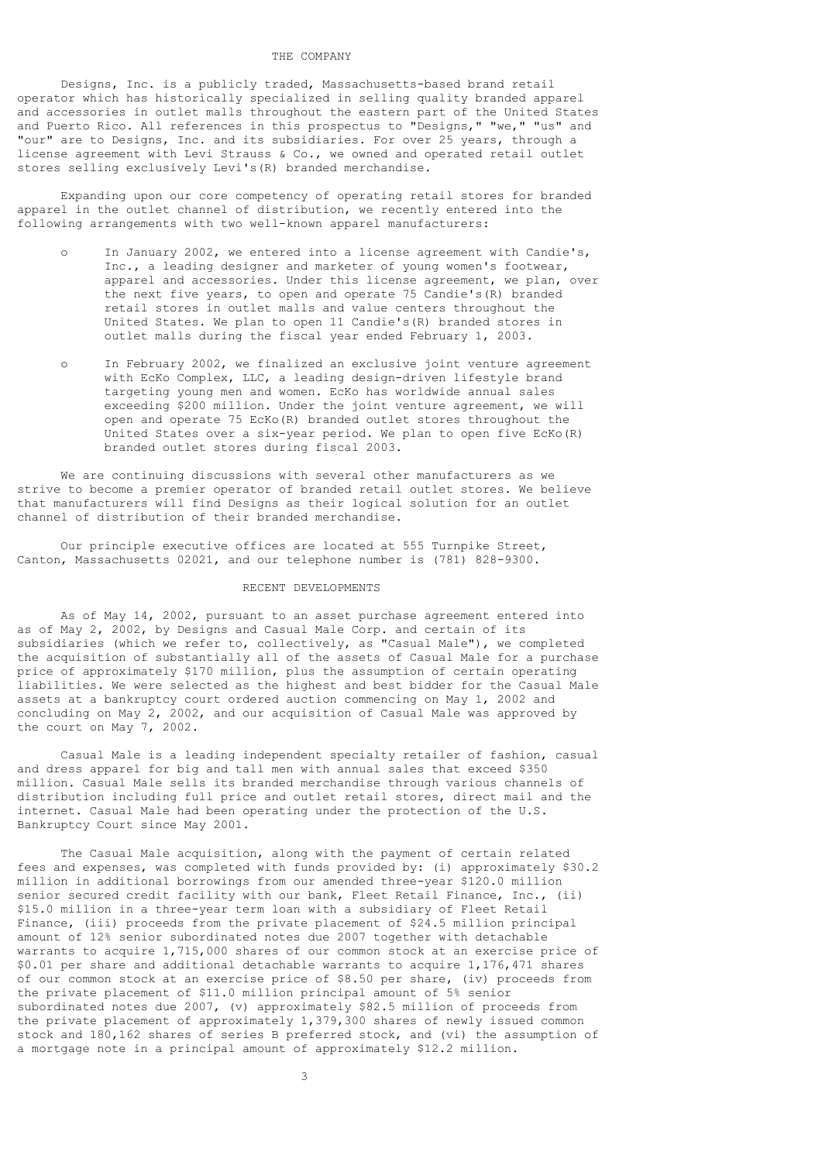# THE COMPANY

 Designs, Inc. is a publicly traded, Massachusetts-based brand retail operator which has historically specialized in selling quality branded apparel and accessories in outlet malls throughout the eastern part of the United States and Puerto Rico. All references in this prospectus to "Designs," "we," "us" and "our" are to Designs, Inc. and its subsidiaries. For over 25 years, through a license agreement with Levi Strauss & Co., we owned and operated retail outlet stores selling exclusively Levi's(R) branded merchandise.

 Expanding upon our core competency of operating retail stores for branded apparel in the outlet channel of distribution, we recently entered into the following arrangements with two well-known apparel manufacturers:

- o In January 2002, we entered into a license agreement with Candie's, Inc., a leading designer and marketer of young women's footwear, apparel and accessories. Under this license agreement, we plan, over the next five years, to open and operate 75 Candie's(R) branded retail stores in outlet malls and value centers throughout the United States. We plan to open 11 Candie's(R) branded stores in outlet malls during the fiscal year ended February 1, 2003.
- o In February 2002, we finalized an exclusive joint venture agreement with EcKo Complex, LLC, a leading design-driven lifestyle brand targeting young men and women. EcKo has worldwide annual sales exceeding \$200 million. Under the joint venture agreement, we will open and operate 75 EcKo(R) branded outlet stores throughout the United States over a six-year period. We plan to open five EcKo(R) branded outlet stores during fiscal 2003.

 We are continuing discussions with several other manufacturers as we strive to become a premier operator of branded retail outlet stores. We believe that manufacturers will find Designs as their logical solution for an outlet channel of distribution of their branded merchandise.

 Our principle executive offices are located at 555 Turnpike Street, Canton, Massachusetts 02021, and our telephone number is (781) 828-9300.

## RECENT DEVELOPMENTS

 As of May 14, 2002, pursuant to an asset purchase agreement entered into as of May 2, 2002, by Designs and Casual Male Corp. and certain of its subsidiaries (which we refer to, collectively, as "Casual Male"), we completed the acquisition of substantially all of the assets of Casual Male for a purchase price of approximately \$170 million, plus the assumption of certain operating liabilities. We were selected as the highest and best bidder for the Casual Male assets at a bankruptcy court ordered auction commencing on May 1, 2002 and concluding on May 2, 2002, and our acquisition of Casual Male was approved by the court on May 7, 2002.

 Casual Male is a leading independent specialty retailer of fashion, casual and dress apparel for big and tall men with annual sales that exceed \$350 million. Casual Male sells its branded merchandise through various channels of distribution including full price and outlet retail stores, direct mail and the internet. Casual Male had been operating under the protection of the U.S. Bankruptcy Court since May 2001.

 The Casual Male acquisition, along with the payment of certain related fees and expenses, was completed with funds provided by: (i) approximately \$30.2 million in additional borrowings from our amended three-year \$120.0 million senior secured credit facility with our bank, Fleet Retail Finance, Inc., (ii) \$15.0 million in a three-year term loan with a subsidiary of Fleet Retail Finance, (iii) proceeds from the private placement of \$24.5 million principal amount of 12% senior subordinated notes due 2007 together with detachable warrants to acquire 1,715,000 shares of our common stock at an exercise price of \$0.01 per share and additional detachable warrants to acquire 1,176,471 shares of our common stock at an exercise price of \$8.50 per share, (iv) proceeds from the private placement of \$11.0 million principal amount of 5% senior subordinated notes due 2007, (v) approximately \$82.5 million of proceeds from the private placement of approximately 1,379,300 shares of newly issued common stock and 180,162 shares of series B preferred stock, and (vi) the assumption of a mortgage note in a principal amount of approximately \$12.2 million.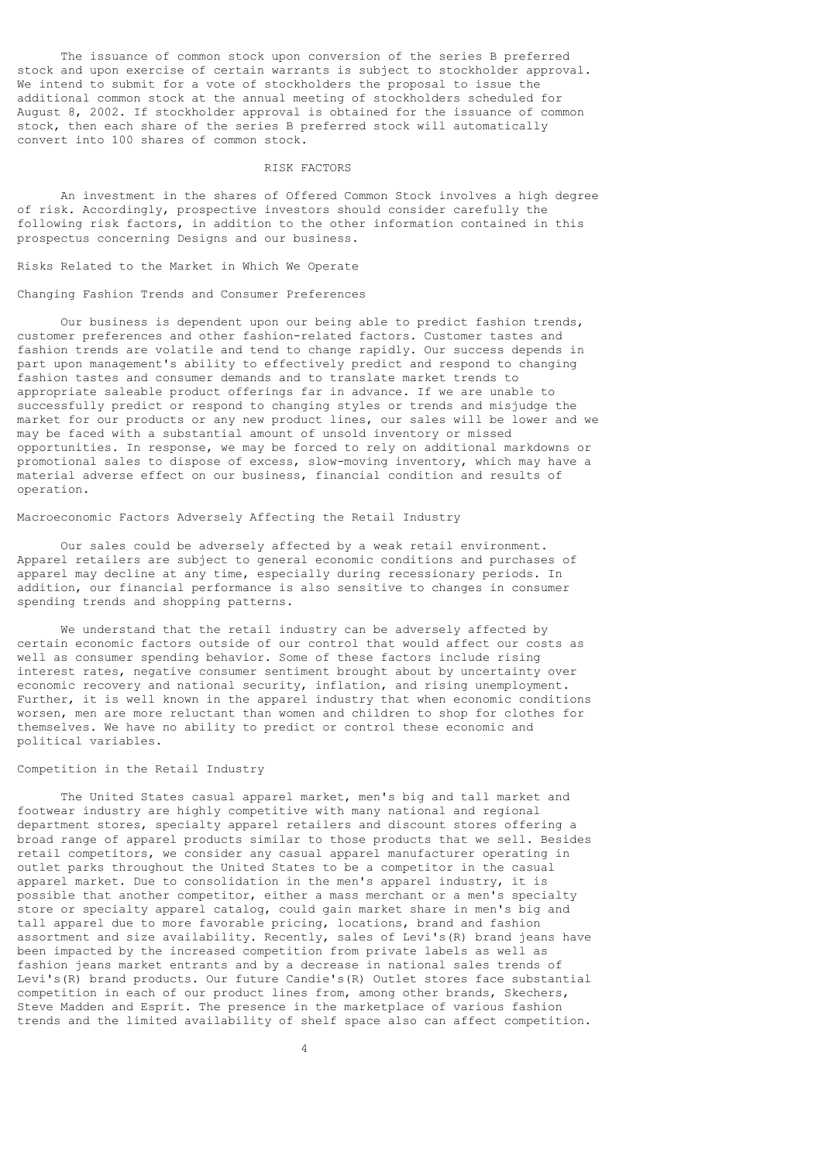The issuance of common stock upon conversion of the series B preferred stock and upon exercise of certain warrants is subject to stockholder approval. We intend to submit for a vote of stockholders the proposal to issue the additional common stock at the annual meeting of stockholders scheduled for August 8, 2002. If stockholder approval is obtained for the issuance of common stock, then each share of the series B preferred stock will automatically convert into 100 shares of common stock.

#### RISK FACTORS

 An investment in the shares of Offered Common Stock involves a high degree of risk. Accordingly, prospective investors should consider carefully the following risk factors, in addition to the other information contained in this prospectus concerning Designs and our business.

Risks Related to the Market in Which We Operate

# Changing Fashion Trends and Consumer Preferences

 Our business is dependent upon our being able to predict fashion trends, customer preferences and other fashion-related factors. Customer tastes and fashion trends are volatile and tend to change rapidly. Our success depends in part upon management's ability to effectively predict and respond to changing fashion tastes and consumer demands and to translate market trends to appropriate saleable product offerings far in advance. If we are unable to successfully predict or respond to changing styles or trends and misjudge the market for our products or any new product lines, our sales will be lower and we may be faced with a substantial amount of unsold inventory or missed opportunities. In response, we may be forced to rely on additional markdowns or promotional sales to dispose of excess, slow-moving inventory, which may have a material adverse effect on our business, financial condition and results of operation.

### Macroeconomic Factors Adversely Affecting the Retail Industry

 Our sales could be adversely affected by a weak retail environment. Apparel retailers are subject to general economic conditions and purchases of apparel may decline at any time, especially during recessionary periods. In addition, our financial performance is also sensitive to changes in consumer spending trends and shopping patterns.

 We understand that the retail industry can be adversely affected by certain economic factors outside of our control that would affect our costs as well as consumer spending behavior. Some of these factors include rising interest rates, negative consumer sentiment brought about by uncertainty over economic recovery and national security, inflation, and rising unemployment. Further, it is well known in the apparel industry that when economic conditions worsen, men are more reluctant than women and children to shop for clothes for themselves. We have no ability to predict or control these economic and political variables.

### Competition in the Retail Industry

 The United States casual apparel market, men's big and tall market and footwear industry are highly competitive with many national and regional department stores, specialty apparel retailers and discount stores offering a broad range of apparel products similar to those products that we sell. Besides retail competitors, we consider any casual apparel manufacturer operating in outlet parks throughout the United States to be a competitor in the casual apparel market. Due to consolidation in the men's apparel industry, it is possible that another competitor, either a mass merchant or a men's specialty store or specialty apparel catalog, could gain market share in men's big and tall apparel due to more favorable pricing, locations, brand and fashion assortment and size availability. Recently, sales of Levi's(R) brand jeans have been impacted by the increased competition from private labels as well as fashion jeans market entrants and by a decrease in national sales trends of Levi's(R) brand products. Our future Candie's(R) Outlet stores face substantial competition in each of our product lines from, among other brands, Skechers, Steve Madden and Esprit. The presence in the marketplace of various fashion trends and the limited availability of shelf space also can affect competition.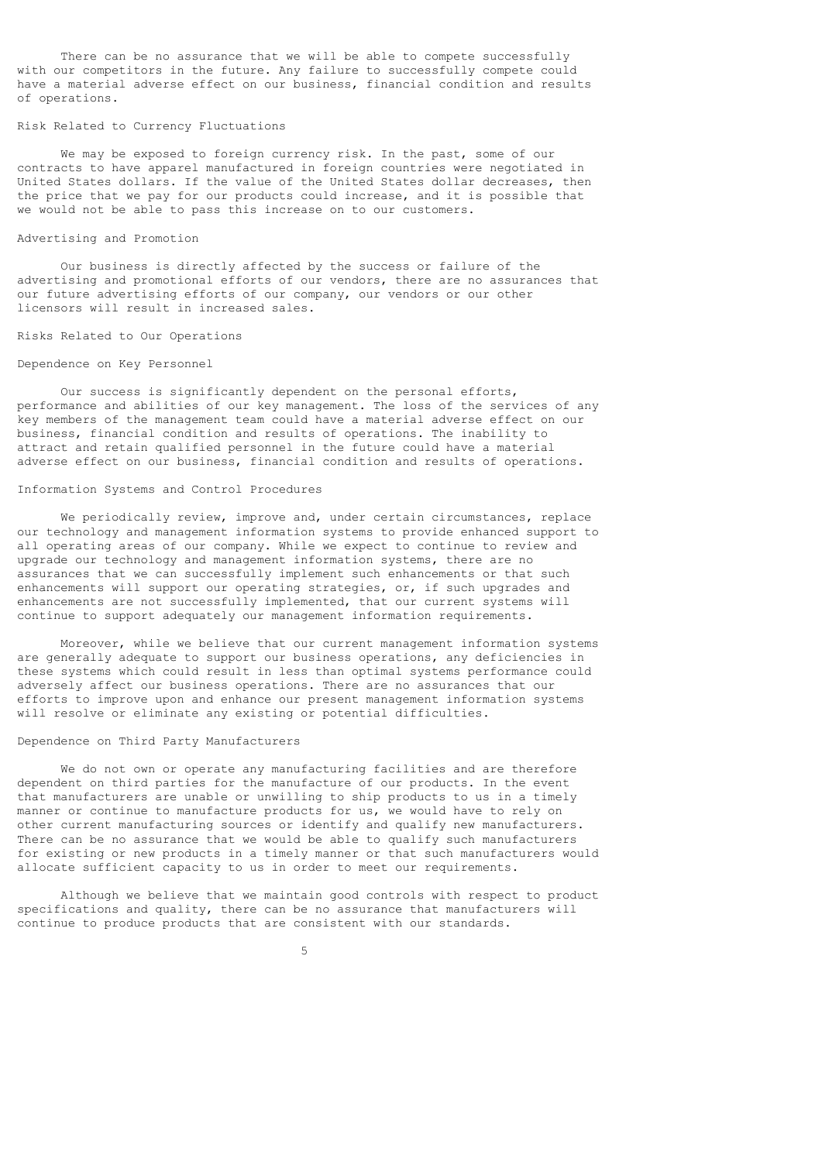There can be no assurance that we will be able to compete successfully with our competitors in the future. Any failure to successfully compete could have a material adverse effect on our business, financial condition and results of operations.

#### Risk Related to Currency Fluctuations

 We may be exposed to foreign currency risk. In the past, some of our contracts to have apparel manufactured in foreign countries were negotiated in United States dollars. If the value of the United States dollar decreases, then the price that we pay for our products could increase, and it is possible that we would not be able to pass this increase on to our customers.

#### Advertising and Promotion

 Our business is directly affected by the success or failure of the advertising and promotional efforts of our vendors, there are no assurances that our future advertising efforts of our company, our vendors or our other licensors will result in increased sales.

#### Risks Related to Our Operations

### Dependence on Key Personnel

 Our success is significantly dependent on the personal efforts, performance and abilities of our key management. The loss of the services of any key members of the management team could have a material adverse effect on our business, financial condition and results of operations. The inability to attract and retain qualified personnel in the future could have a material adverse effect on our business, financial condition and results of operations.

# Information Systems and Control Procedures

 We periodically review, improve and, under certain circumstances, replace our technology and management information systems to provide enhanced support to all operating areas of our company. While we expect to continue to review and upgrade our technology and management information systems, there are no assurances that we can successfully implement such enhancements or that such enhancements will support our operating strategies, or, if such upgrades and enhancements are not successfully implemented, that our current systems will continue to support adequately our management information requirements.

 Moreover, while we believe that our current management information systems are generally adequate to support our business operations, any deficiencies in these systems which could result in less than optimal systems performance could adversely affect our business operations. There are no assurances that our efforts to improve upon and enhance our present management information systems will resolve or eliminate any existing or potential difficulties.

# Dependence on Third Party Manufacturers

 We do not own or operate any manufacturing facilities and are therefore dependent on third parties for the manufacture of our products. In the event that manufacturers are unable or unwilling to ship products to us in a timely manner or continue to manufacture products for us, we would have to rely on other current manufacturing sources or identify and qualify new manufacturers. There can be no assurance that we would be able to qualify such manufacturers for existing or new products in a timely manner or that such manufacturers would allocate sufficient capacity to us in order to meet our requirements.

 Although we believe that we maintain good controls with respect to product specifications and quality, there can be no assurance that manufacturers will continue to produce products that are consistent with our standards.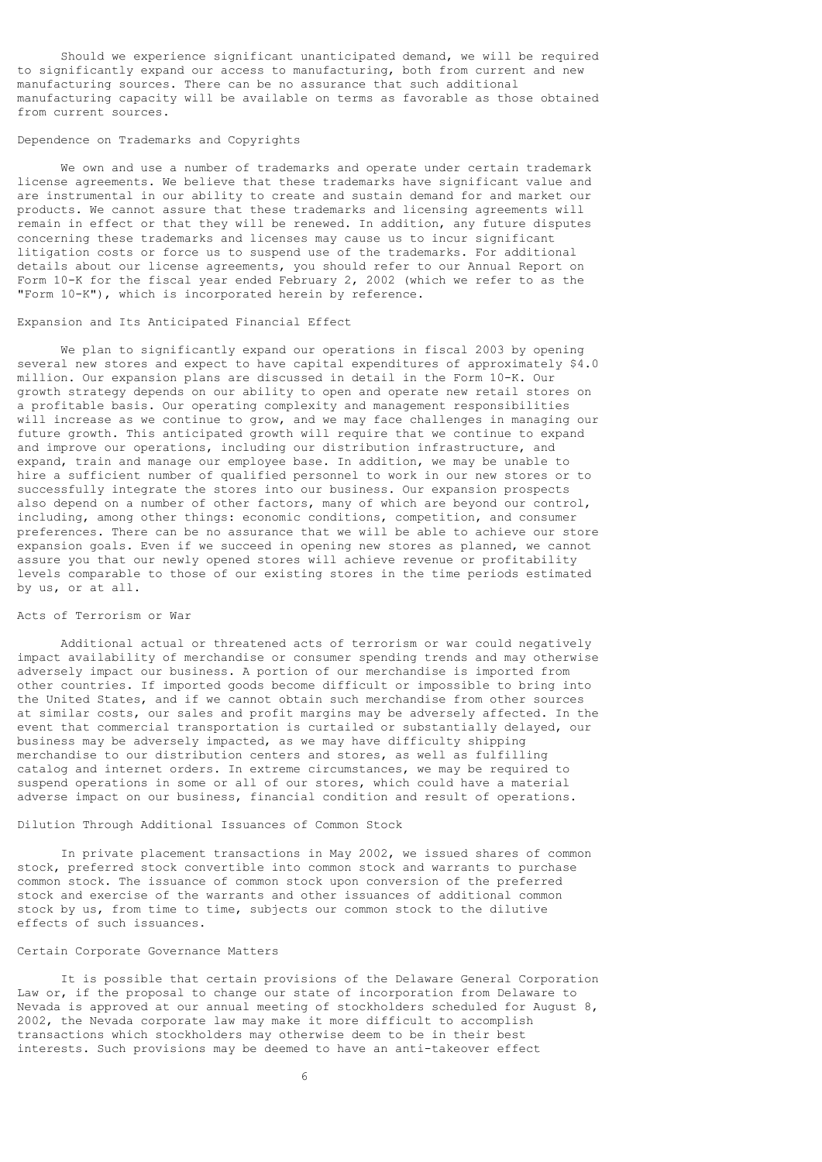Should we experience significant unanticipated demand, we will be required to significantly expand our access to manufacturing, both from current and new manufacturing sources. There can be no assurance that such additional manufacturing capacity will be available on terms as favorable as those obtained from current sources.

### Dependence on Trademarks and Copyrights

 We own and use a number of trademarks and operate under certain trademark license agreements. We believe that these trademarks have significant value and are instrumental in our ability to create and sustain demand for and market our products. We cannot assure that these trademarks and licensing agreements will remain in effect or that they will be renewed. In addition, any future disputes concerning these trademarks and licenses may cause us to incur significant litigation costs or force us to suspend use of the trademarks. For additional details about our license agreements, you should refer to our Annual Report on Form 10-K for the fiscal year ended February 2, 2002 (which we refer to as the "Form 10-K"), which is incorporated herein by reference.

# Expansion and Its Anticipated Financial Effect

 We plan to significantly expand our operations in fiscal 2003 by opening several new stores and expect to have capital expenditures of approximately \$4.0 million. Our expansion plans are discussed in detail in the Form 10-K. Our growth strategy depends on our ability to open and operate new retail stores on a profitable basis. Our operating complexity and management responsibilities will increase as we continue to grow, and we may face challenges in managing our future growth. This anticipated growth will require that we continue to expand and improve our operations, including our distribution infrastructure, and expand, train and manage our employee base. In addition, we may be unable to hire a sufficient number of qualified personnel to work in our new stores or to successfully integrate the stores into our business. Our expansion prospects also depend on a number of other factors, many of which are beyond our control, including, among other things: economic conditions, competition, and consumer preferences. There can be no assurance that we will be able to achieve our store expansion goals. Even if we succeed in opening new stores as planned, we cannot assure you that our newly opened stores will achieve revenue or profitability levels comparable to those of our existing stores in the time periods estimated by us, or at all.

## Acts of Terrorism or War

 Additional actual or threatened acts of terrorism or war could negatively impact availability of merchandise or consumer spending trends and may otherwise adversely impact our business. A portion of our merchandise is imported from other countries. If imported goods become difficult or impossible to bring into the United States, and if we cannot obtain such merchandise from other sources at similar costs, our sales and profit margins may be adversely affected. In the event that commercial transportation is curtailed or substantially delayed, our business may be adversely impacted, as we may have difficulty shipping merchandise to our distribution centers and stores, as well as fulfilling catalog and internet orders. In extreme circumstances, we may be required to suspend operations in some or all of our stores, which could have a material adverse impact on our business, financial condition and result of operations.

# Dilution Through Additional Issuances of Common Stock

 In private placement transactions in May 2002, we issued shares of common stock, preferred stock convertible into common stock and warrants to purchase common stock. The issuance of common stock upon conversion of the preferred stock and exercise of the warrants and other issuances of additional common stock by us, from time to time, subjects our common stock to the dilutive effects of such issuances.

#### Certain Corporate Governance Matters

 It is possible that certain provisions of the Delaware General Corporation Law or, if the proposal to change our state of incorporation from Delaware to Nevada is approved at our annual meeting of stockholders scheduled for August 8, 2002, the Nevada corporate law may make it more difficult to accomplish transactions which stockholders may otherwise deem to be in their best interests. Such provisions may be deemed to have an anti-takeover effect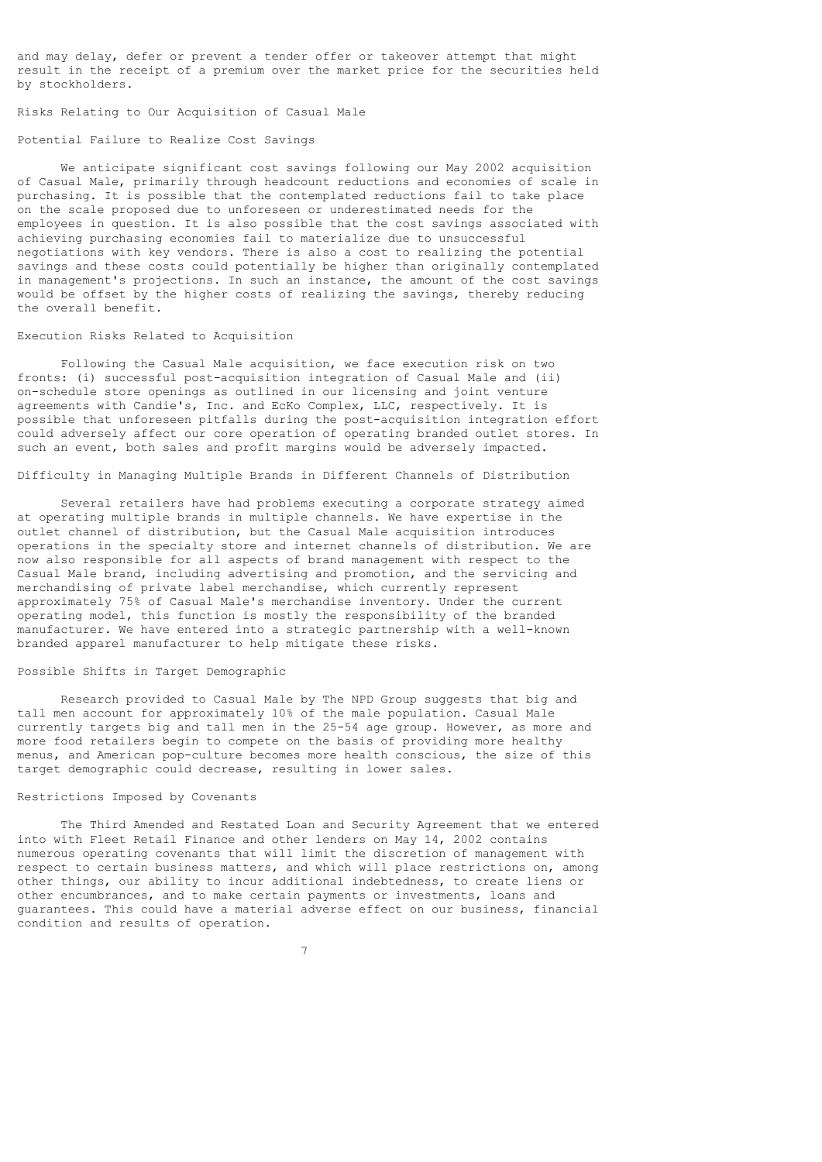and may delay, defer or prevent a tender offer or takeover attempt that might result in the receipt of a premium over the market price for the securities held by stockholders.

Risks Relating to Our Acquisition of Casual Male

### Potential Failure to Realize Cost Savings

 We anticipate significant cost savings following our May 2002 acquisition of Casual Male, primarily through headcount reductions and economies of scale in purchasing. It is possible that the contemplated reductions fail to take place on the scale proposed due to unforeseen or underestimated needs for the employees in question. It is also possible that the cost savings associated with achieving purchasing economies fail to materialize due to unsuccessful negotiations with key vendors. There is also a cost to realizing the potential savings and these costs could potentially be higher than originally contemplated in management's projections. In such an instance, the amount of the cost savings would be offset by the higher costs of realizing the savings, thereby reducing the overall benefit.

### Execution Risks Related to Acquisition

 Following the Casual Male acquisition, we face execution risk on two fronts: (i) successful post-acquisition integration of Casual Male and (ii) on-schedule store openings as outlined in our licensing and joint venture agreements with Candie's, Inc. and EcKo Complex, LLC, respectively. It is possible that unforeseen pitfalls during the post-acquisition integration effort could adversely affect our core operation of operating branded outlet stores. In such an event, both sales and profit margins would be adversely impacted.

# Difficulty in Managing Multiple Brands in Different Channels of Distribution

 Several retailers have had problems executing a corporate strategy aimed at operating multiple brands in multiple channels. We have expertise in the outlet channel of distribution, but the Casual Male acquisition introduces operations in the specialty store and internet channels of distribution. We are now also responsible for all aspects of brand management with respect to the Casual Male brand, including advertising and promotion, and the servicing and merchandising of private label merchandise, which currently represent approximately 75% of Casual Male's merchandise inventory. Under the current operating model, this function is mostly the responsibility of the branded manufacturer. We have entered into a strategic partnership with a well-known branded apparel manufacturer to help mitigate these risks.

# Possible Shifts in Target Demographic

 Research provided to Casual Male by The NPD Group suggests that big and tall men account for approximately 10% of the male population. Casual Male currently targets big and tall men in the 25-54 age group. However, as more and more food retailers begin to compete on the basis of providing more healthy menus, and American pop-culture becomes more health conscious, the size of this target demographic could decrease, resulting in lower sales.

## Restrictions Imposed by Covenants

 The Third Amended and Restated Loan and Security Agreement that we entered into with Fleet Retail Finance and other lenders on May 14, 2002 contains numerous operating covenants that will limit the discretion of management with respect to certain business matters, and which will place restrictions on, among other things, our ability to incur additional indebtedness, to create liens or other encumbrances, and to make certain payments or investments, loans and guarantees. This could have a material adverse effect on our business, financial condition and results of operation.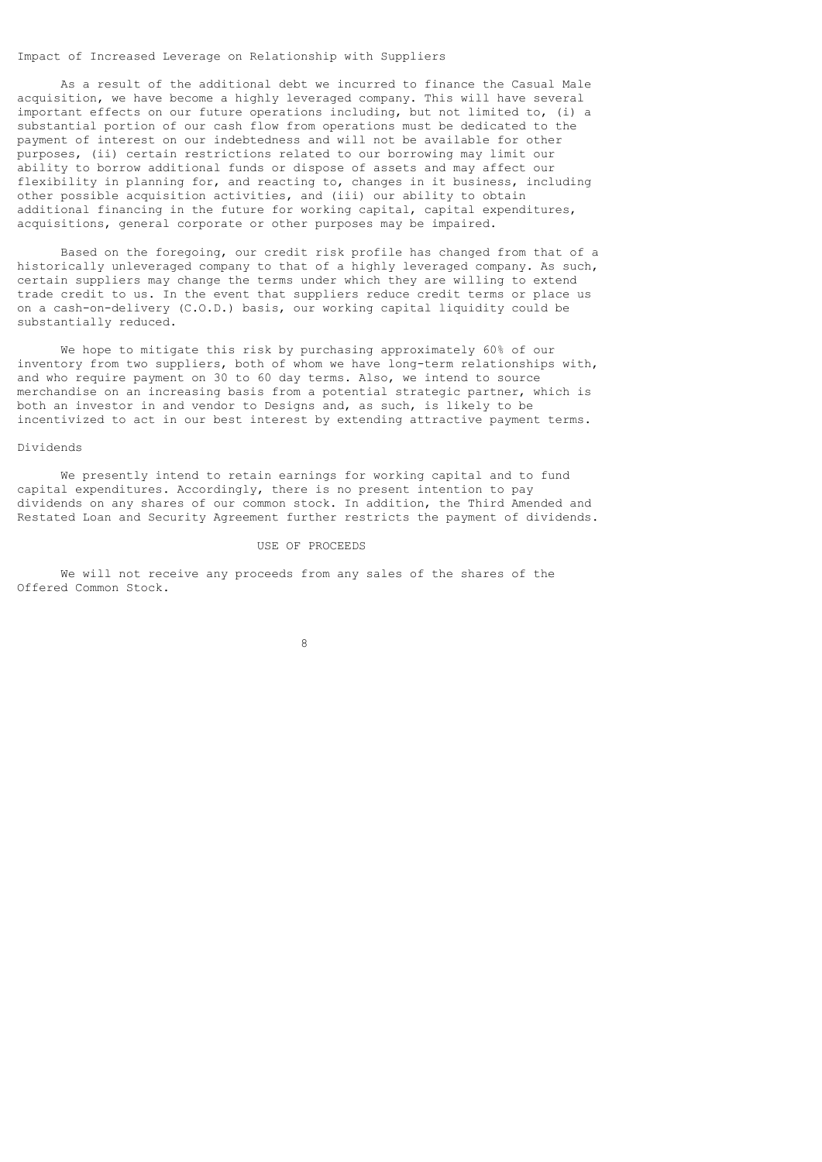### Impact of Increased Leverage on Relationship with Suppliers

 As a result of the additional debt we incurred to finance the Casual Male acquisition, we have become a highly leveraged company. This will have several important effects on our future operations including, but not limited to, (i) a substantial portion of our cash flow from operations must be dedicated to the payment of interest on our indebtedness and will not be available for other purposes, (ii) certain restrictions related to our borrowing may limit our ability to borrow additional funds or dispose of assets and may affect our flexibility in planning for, and reacting to, changes in it business, including other possible acquisition activities, and (iii) our ability to obtain additional financing in the future for working capital, capital expenditures, acquisitions, general corporate or other purposes may be impaired.

 Based on the foregoing, our credit risk profile has changed from that of a historically unleveraged company to that of a highly leveraged company. As such, certain suppliers may change the terms under which they are willing to extend trade credit to us. In the event that suppliers reduce credit terms or place us on a cash-on-delivery (C.O.D.) basis, our working capital liquidity could be substantially reduced.

 We hope to mitigate this risk by purchasing approximately 60% of our inventory from two suppliers, both of whom we have long-term relationships with, and who require payment on 30 to 60 day terms. Also, we intend to source merchandise on an increasing basis from a potential strategic partner, which is both an investor in and vendor to Designs and, as such, is likely to be incentivized to act in our best interest by extending attractive payment terms.

### Dividends

 We presently intend to retain earnings for working capital and to fund capital expenditures. Accordingly, there is no present intention to pay dividends on any shares of our common stock. In addition, the Third Amended and Restated Loan and Security Agreement further restricts the payment of dividends.

#### USE OF PROCEEDS

 We will not receive any proceeds from any sales of the shares of the Offered Common Stock.

8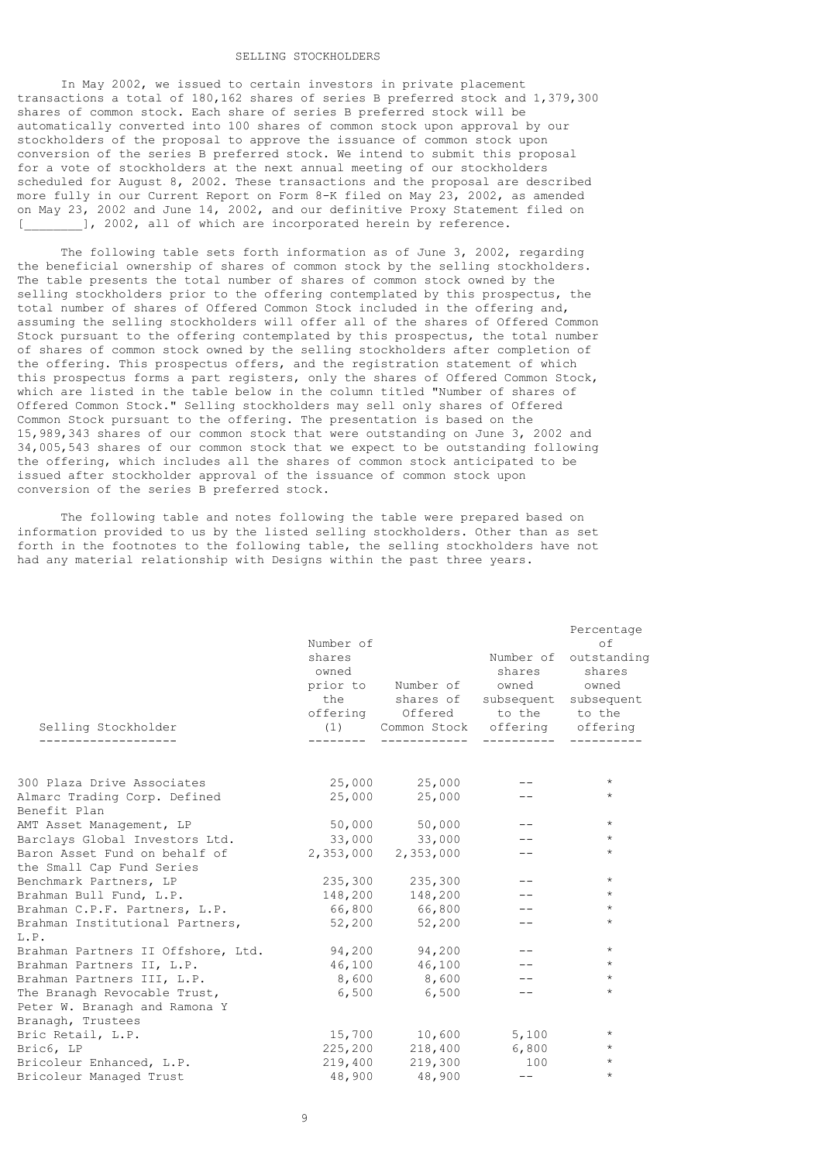# SELLING STOCKHOLDERS

 In May 2002, we issued to certain investors in private placement transactions a total of 180,162 shares of series B preferred stock and 1,379,300 shares of common stock. Each share of series B preferred stock will be automatically converted into 100 shares of common stock upon approval by our stockholders of the proposal to approve the issuance of common stock upon conversion of the series B preferred stock. We intend to submit this proposal for a vote of stockholders at the next annual meeting of our stockholders scheduled for August 8, 2002. These transactions and the proposal are described more fully in our Current Report on Form 8-K filed on May 23, 2002, as amended on May 23, 2002 and June 14, 2002, and our definitive Proxy Statement filed on ], 2002, all of which are incorporated herein by reference.

 The following table sets forth information as of June 3, 2002, regarding the beneficial ownership of shares of common stock by the selling stockholders. The table presents the total number of shares of common stock owned by the selling stockholders prior to the offering contemplated by this prospectus, the total number of shares of Offered Common Stock included in the offering and, assuming the selling stockholders will offer all of the shares of Offered Common Stock pursuant to the offering contemplated by this prospectus, the total number of shares of common stock owned by the selling stockholders after completion of the offering. This prospectus offers, and the registration statement of which this prospectus forms a part registers, only the shares of Offered Common Stock, which are listed in the table below in the column titled "Number of shares of Offered Common Stock." Selling stockholders may sell only shares of Offered Common Stock pursuant to the offering. The presentation is based on the 15,989,343 shares of our common stock that were outstanding on June 3, 2002 and 34,005,543 shares of our common stock that we expect to be outstanding following the offering, which includes all the shares of common stock anticipated to be issued after stockholder approval of the issuance of common stock upon conversion of the series B preferred stock.

 The following table and notes following the table were prepared based on information provided to us by the listed selling stockholders. Other than as set forth in the footnotes to the following table, the selling stockholders have not had any material relationship with Designs within the past three years.

| Selling Stockholder                          | Number of<br>shares<br>owned<br>the | prior to Number of owned owned<br>shares of subsequent subsequent<br>offering Offered to the to the<br>(1) Common Stock offering offering | shares | Percentage<br>of<br>Number of outstanding<br>shares |
|----------------------------------------------|-------------------------------------|-------------------------------------------------------------------------------------------------------------------------------------------|--------|-----------------------------------------------------|
|                                              |                                     |                                                                                                                                           |        |                                                     |
| 300 Plaza Drive Associates                   |                                     | 25,000 25,000                                                                                                                             |        | $\star$                                             |
| Almarc Trading Corp. Defined<br>Benefit Plan |                                     | 25,000 25,000                                                                                                                             |        | $\star$                                             |
| AMT Asset Management, LP                     |                                     | 50,000 50,000                                                                                                                             |        | $\star$                                             |
| Barclays Global Investors Ltd.               |                                     | 33,000 33,000                                                                                                                             | $- -$  | $\star$                                             |
| Baron Asset Fund on behalf of                |                                     | 2,353,000 2,353,000                                                                                                                       |        | $\star$                                             |
| the Small Cap Fund Series                    |                                     |                                                                                                                                           |        |                                                     |
| Benchmark Partners, LP                       | 235,300                             | 235,300                                                                                                                                   |        | $\star$                                             |
| Brahman Bull Fund, L.P.                      | 148,200                             | 148,200                                                                                                                                   |        | $\star$                                             |
| Brahman C.P.F. Partners, L.P.                |                                     | 66,800 66,800                                                                                                                             |        | $\star$                                             |
| Brahman Institutional Partners,              |                                     | 52,200 52,200                                                                                                                             | $- -$  | $\star$                                             |
| L.P.                                         |                                     |                                                                                                                                           |        |                                                     |
| Brahman Partners II Offshore, Ltd.           |                                     | 94,200 94,200                                                                                                                             |        | $\star$                                             |
| Brahman Partners II, L.P.                    |                                     | 46,100 46,100                                                                                                                             |        | $\star$                                             |
| Brahman Partners III, L.P.                   |                                     | 8,600 8,600                                                                                                                               |        | $\star$                                             |
| The Branagh Revocable Trust,                 | 6,500                               | 6,500                                                                                                                                     | $- -$  | $\star$                                             |
| Peter W. Branagh and Ramona Y                |                                     |                                                                                                                                           |        |                                                     |
| Branagh, Trustees                            |                                     |                                                                                                                                           |        |                                                     |
| Bric Retail, L.P.                            |                                     | 15,700 10,600                                                                                                                             | 5,100  | $\star$                                             |
| Bric6, LP                                    | 225,200                             | 218,400                                                                                                                                   | 6,800  | $\star$                                             |
| Bricoleur Enhanced, L.P.                     | 219,400                             | 219,300                                                                                                                                   | 100    | $\star$                                             |
| Bricoleur Managed Trust                      |                                     | 48,900 48,900                                                                                                                             | $- -$  | $\star$                                             |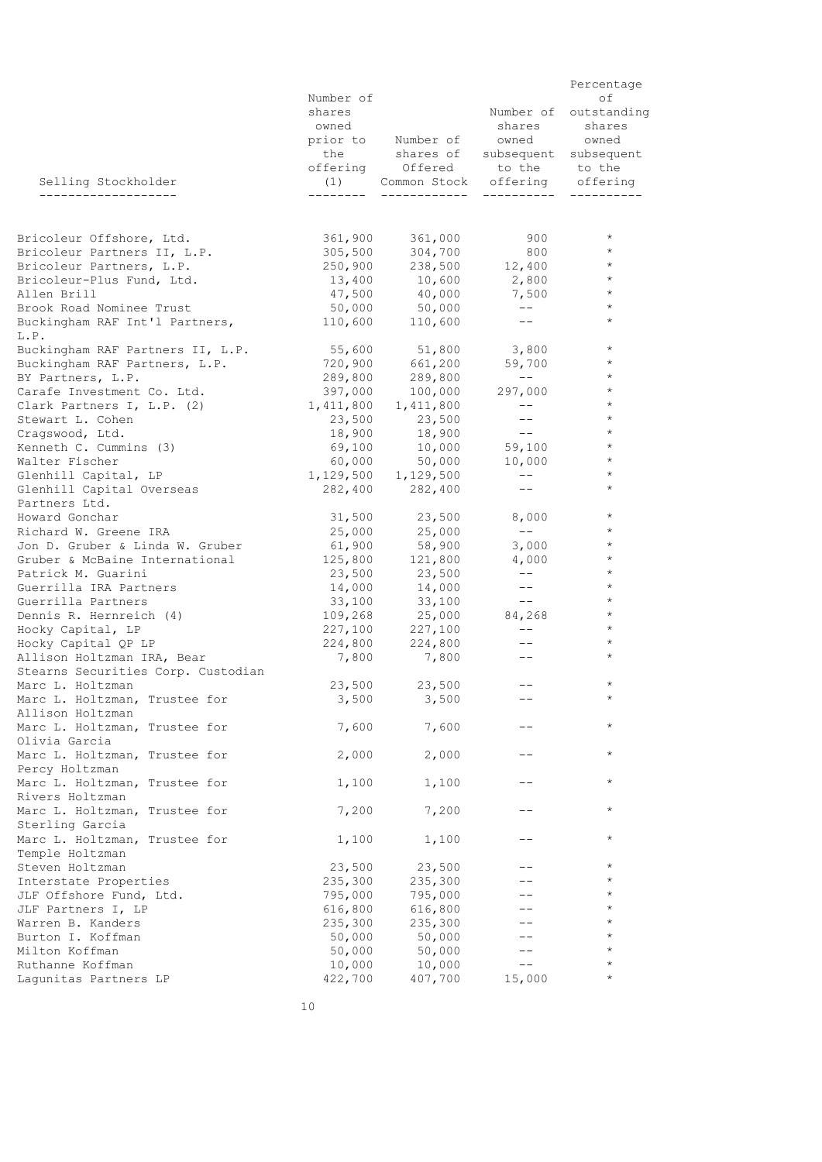|                                                        |                  |                                                                            |                                                                                                                                                                                                                                                                                                                                                                                              | Percentage            |
|--------------------------------------------------------|------------------|----------------------------------------------------------------------------|----------------------------------------------------------------------------------------------------------------------------------------------------------------------------------------------------------------------------------------------------------------------------------------------------------------------------------------------------------------------------------------------|-----------------------|
|                                                        | Number of        |                                                                            |                                                                                                                                                                                                                                                                                                                                                                                              | οf                    |
|                                                        | shares           |                                                                            |                                                                                                                                                                                                                                                                                                                                                                                              | Number of outstanding |
|                                                        | owned            |                                                                            | shares                                                                                                                                                                                                                                                                                                                                                                                       | shares                |
|                                                        |                  | prior to Number of owned owned                                             |                                                                                                                                                                                                                                                                                                                                                                                              |                       |
|                                                        |                  | the shares of subsequent subsequent<br>offering Offered to the to the      |                                                                                                                                                                                                                                                                                                                                                                                              |                       |
|                                                        |                  |                                                                            |                                                                                                                                                                                                                                                                                                                                                                                              |                       |
| Selling Stockholder                                    |                  | (1) Common Stock offering offering                                         |                                                                                                                                                                                                                                                                                                                                                                                              |                       |
| --------------------                                   |                  |                                                                            |                                                                                                                                                                                                                                                                                                                                                                                              |                       |
|                                                        |                  |                                                                            |                                                                                                                                                                                                                                                                                                                                                                                              |                       |
| Bricoleur Offshore, Ltd.                               |                  |                                                                            |                                                                                                                                                                                                                                                                                                                                                                                              | $\star$               |
| Bricoleur Partners II, L.P.                            |                  | 361,900         361,000<br>305,500         304,700                         | 900<br>800                                                                                                                                                                                                                                                                                                                                                                                   | $\star$               |
| Bricoleur Partners, L.P.                               |                  | $250,900$ $238,500$ $12,400$ *                                             |                                                                                                                                                                                                                                                                                                                                                                                              |                       |
| Bricoleur-Plus Fund, Ltd.                              |                  |                                                                            |                                                                                                                                                                                                                                                                                                                                                                                              | $\star$               |
| Allen Brill                                            |                  |                                                                            | 7,500                                                                                                                                                                                                                                                                                                                                                                                        | $\star$               |
| Brook Road Nominee Trust                               |                  | $50,000$ $50,000$                                                          |                                                                                                                                                                                                                                                                                                                                                                                              | $\star$               |
| Buckingham RAF Int'l Partners, 110,600 110,600         |                  |                                                                            | $\frac{1}{2} \frac{1}{2} \frac{1}{2} \frac{1}{2} \frac{1}{2} \frac{1}{2} \frac{1}{2} \frac{1}{2} \frac{1}{2} \frac{1}{2} \frac{1}{2} \frac{1}{2} \frac{1}{2} \frac{1}{2} \frac{1}{2} \frac{1}{2} \frac{1}{2} \frac{1}{2} \frac{1}{2} \frac{1}{2} \frac{1}{2} \frac{1}{2} \frac{1}{2} \frac{1}{2} \frac{1}{2} \frac{1}{2} \frac{1}{2} \frac{1}{2} \frac{1}{2} \frac{1}{2} \frac{1}{2} \frac{$ | $\star$               |
| L.P.                                                   |                  |                                                                            |                                                                                                                                                                                                                                                                                                                                                                                              |                       |
| Buckingham RAF Partners II, L.P. 55,600 51,800 3,800 * |                  |                                                                            |                                                                                                                                                                                                                                                                                                                                                                                              |                       |
| Buckingham RAF Partners, L.P.                          |                  | 720,900 661,200 59,700                                                     |                                                                                                                                                                                                                                                                                                                                                                                              | $\star$               |
| BY Partners, L.P.                                      |                  | 289,800         289,800<br>397,000        100,000                          | $\sim$ $  -$                                                                                                                                                                                                                                                                                                                                                                                 | $\star$               |
| Carafe Investment Co. Ltd.                             |                  |                                                                            | 297,000 *                                                                                                                                                                                                                                                                                                                                                                                    |                       |
| Clark Partners I, L.P. (2) 1,411,800                   |                  | 1,411,800                                                                  | $  -$                                                                                                                                                                                                                                                                                                                                                                                        | $\star$               |
| Stewart L. Cohen                                       | 23,500<br>18,900 | $23,500$<br>10.11                                                          |                                                                                                                                                                                                                                                                                                                                                                                              | $\star$               |
| Cragswood, Ltd.                                        |                  | 18,900                                                                     | $- -$                                                                                                                                                                                                                                                                                                                                                                                        | $\star$               |
| Kenneth C. Cummins (3)                                 |                  | $69,100$ $10,000$ $59,100$                                                 |                                                                                                                                                                                                                                                                                                                                                                                              | $\star$               |
| Walter Fischer                                         |                  |                                                                            |                                                                                                                                                                                                                                                                                                                                                                                              | $\star$               |
| Glenhill Capital, LP                                   |                  | $60,000$ $50,000$ $10,000$<br>1,129,500 1,129,500 --<br>282,400 282,400 -- |                                                                                                                                                                                                                                                                                                                                                                                              | $\star$               |
| Glenhill Capital Overseas                              |                  |                                                                            |                                                                                                                                                                                                                                                                                                                                                                                              | $\star$               |
| Partners Ltd.                                          |                  |                                                                            |                                                                                                                                                                                                                                                                                                                                                                                              |                       |
| Howard Gonchar                                         |                  | 31,500 23,500 8,000                                                        |                                                                                                                                                                                                                                                                                                                                                                                              | $\star$               |
| Richard W. Greene IRA                                  |                  | $25,000$ $25,000$                                                          |                                                                                                                                                                                                                                                                                                                                                                                              | $\star$               |
| Jon D. Gruber & Linda W. Gruber                        |                  | $61,900$ $58,900$ $3,000$<br>125,800 121,800 $4,000$<br>23,500 23,500 --   |                                                                                                                                                                                                                                                                                                                                                                                              | $\star$               |
| Gruber & McBaine International                         |                  |                                                                            |                                                                                                                                                                                                                                                                                                                                                                                              | $\star$               |
| Patrick M. Guarini                                     |                  |                                                                            |                                                                                                                                                                                                                                                                                                                                                                                              | $\star$               |
| Guerrilla IRA Partners                                 |                  | 14,000 14,000                                                              |                                                                                                                                                                                                                                                                                                                                                                                              | $\star$               |
| Guerrilla Partners                                     | 33,100           |                                                                            |                                                                                                                                                                                                                                                                                                                                                                                              | $\star$               |
| Dennis R. Hernreich (4)                                |                  |                                                                            |                                                                                                                                                                                                                                                                                                                                                                                              | $\star$               |
| Hocky Capital, LP                                      | 227,100          | 227,100                                                                    | <b>Service</b> State                                                                                                                                                                                                                                                                                                                                                                         | $\star$               |
| Hocky Capital QP LP                                    |                  | 224,800 224,800                                                            | $\sim$ $\sim$ $-$                                                                                                                                                                                                                                                                                                                                                                            | $\star$               |
| Allison Holtzman IRA, Bear                             | 7,800            | 7,800                                                                      | $---$                                                                                                                                                                                                                                                                                                                                                                                        | $\star$               |
| Stearns Securities Corp. Custodian                     |                  |                                                                            |                                                                                                                                                                                                                                                                                                                                                                                              |                       |
| Marc L. Holtzman                                       |                  | 23,500 23,500                                                              | $---$                                                                                                                                                                                                                                                                                                                                                                                        | $\star$               |
| Marc L. Holtzman, Trustee for                          | 3,500            | 3,500                                                                      |                                                                                                                                                                                                                                                                                                                                                                                              | $\star$               |
| Allison Holtzman                                       |                  |                                                                            |                                                                                                                                                                                                                                                                                                                                                                                              |                       |
| Marc L. Holtzman, Trustee for                          | 7,600            | 7,600                                                                      |                                                                                                                                                                                                                                                                                                                                                                                              | $\star$               |
| Olivia Garcia                                          |                  |                                                                            |                                                                                                                                                                                                                                                                                                                                                                                              | $\star$               |
| Marc L. Holtzman, Trustee for<br>Percy Holtzman        | 2,000            | 2,000                                                                      |                                                                                                                                                                                                                                                                                                                                                                                              |                       |
| Marc L. Holtzman, Trustee for                          | 1,100            | 1,100                                                                      |                                                                                                                                                                                                                                                                                                                                                                                              | $\star$               |
| Rivers Holtzman                                        |                  |                                                                            |                                                                                                                                                                                                                                                                                                                                                                                              |                       |
| Marc L. Holtzman, Trustee for                          | 7,200            | 7,200                                                                      |                                                                                                                                                                                                                                                                                                                                                                                              | $\star$               |
| Sterling Garcia                                        |                  |                                                                            |                                                                                                                                                                                                                                                                                                                                                                                              |                       |
| Marc L. Holtzman, Trustee for                          | 1,100            | 1,100                                                                      |                                                                                                                                                                                                                                                                                                                                                                                              | $\star$               |
| Temple Holtzman                                        |                  |                                                                            |                                                                                                                                                                                                                                                                                                                                                                                              |                       |
| Steven Holtzman                                        | 23,500           | 23,500                                                                     |                                                                                                                                                                                                                                                                                                                                                                                              | $\star$               |
| Interstate Properties                                  | 235,300          | 235,300                                                                    |                                                                                                                                                                                                                                                                                                                                                                                              | $\star$               |
| JLF Offshore Fund, Ltd.                                | 795,000          | 795,000                                                                    |                                                                                                                                                                                                                                                                                                                                                                                              | $\star$               |
| JLF Partners I, LP                                     | 616,800          | 616,800                                                                    |                                                                                                                                                                                                                                                                                                                                                                                              | *                     |
| Warren B. Kanders                                      | 235,300          | 235,300                                                                    |                                                                                                                                                                                                                                                                                                                                                                                              | *                     |
| Burton I. Koffman                                      | 50,000           | 50,000                                                                     |                                                                                                                                                                                                                                                                                                                                                                                              | $\star$               |
| Milton Koffman                                         | 50,000           | 50,000                                                                     |                                                                                                                                                                                                                                                                                                                                                                                              | $\star$               |
| Ruthanne Koffman                                       | 10,000           | 10,000                                                                     | $- -$                                                                                                                                                                                                                                                                                                                                                                                        | $\star$               |
| Lagunitas Partners LP                                  | 422,700          | 407,700                                                                    | 15,000                                                                                                                                                                                                                                                                                                                                                                                       | $^\star$              |
|                                                        |                  |                                                                            |                                                                                                                                                                                                                                                                                                                                                                                              |                       |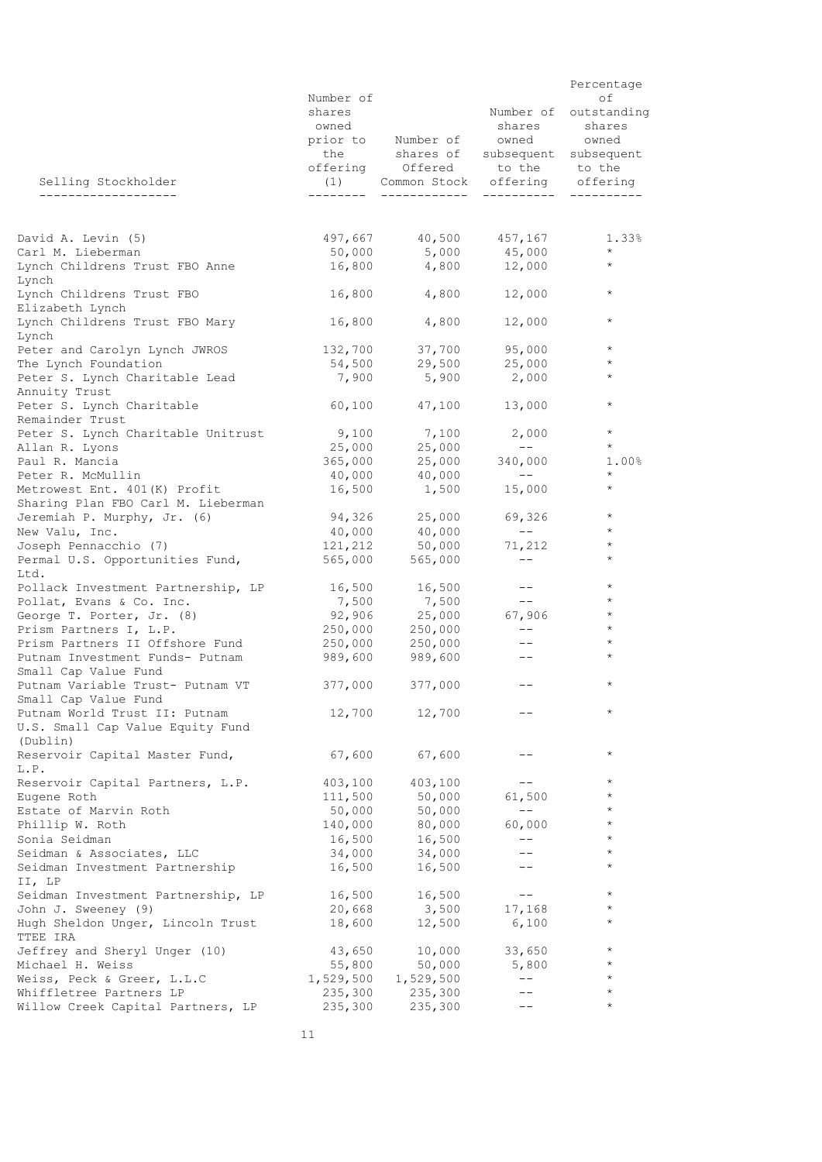|                                                                | Number of       |                                                                       |                                         | Percentage<br>оf                |
|----------------------------------------------------------------|-----------------|-----------------------------------------------------------------------|-----------------------------------------|---------------------------------|
|                                                                | shares<br>owned | prior to Number of owned owned                                        | shares                                  | Number of outstanding<br>shares |
|                                                                |                 | the shares of subsequent subsequent<br>offering Offered to the to the |                                         |                                 |
| Selling Stockholder<br>-----------------                       |                 | (1) Common Stock offering offering                                    |                                         |                                 |
|                                                                |                 |                                                                       |                                         |                                 |
| David A. Levin (5)                                             |                 |                                                                       |                                         | 1.33%                           |
| Carl M. Lieberman<br>Lynch Childrens Trust FBO Anne            |                 | $16,800$ $4,800$ $12,000$                                             |                                         | $\star$<br>$\star$              |
| Lynch                                                          |                 |                                                                       |                                         | $\star$                         |
| Lynch Childrens Trust FBO<br>Elizabeth Lynch                   | 16,800          | 4,800                                                                 | 12,000                                  |                                 |
| Lynch Childrens Trust FBO Mary<br>Lynch                        |                 | 16,800 4,800                                                          | 12,000                                  | $\star$                         |
| Peter and Carolyn Lynch JWROS                                  |                 | 132,700 37,700 95,000                                                 |                                         | $\star$                         |
| The Lynch Foundation                                           |                 | 54,500 29,500 25,000                                                  |                                         | $\star$<br>$\star$              |
| Peter S. Lynch Charitable Lead<br>Annuity Trust                | 7,900           | 5,900                                                                 | 2,000                                   |                                 |
| Peter S. Lynch Charitable<br>Remainder Trust                   |                 | 60,100 47,100                                                         | 13,000                                  | $\star$                         |
| Peter S. Lynch Charitable Unitrust                             |                 | $9,100$ 7,100                                                         | 2,000                                   | $\star$                         |
| Allan R. Lyons                                                 |                 | 25,000 25,000                                                         | $- - -$                                 | $\star$                         |
| Paul R. Mancia                                                 |                 | 365,000 25,000 340,000                                                |                                         | $1.00\%$                        |
| Peter R. McMullin                                              | 40,000          | 40,000                                                                | $  -$                                   | $\star$                         |
| Metrowest Ent. 401 (K) Profit                                  |                 | $16,500$ $1,500$ $15,000$                                             |                                         | $\star$                         |
| Sharing Plan FBO Carl M. Lieberman                             |                 |                                                                       |                                         | $\star$                         |
| Jeremiah P. Murphy, Jr. (6)                                    |                 | 94,326 25,000<br>40,000 40,000                                        | 69,326<br>$\sim$ 100 $-$ 100 $^{\circ}$ | $\star$                         |
| New Valu, Inc.<br>Joseph Pennacchio (7)                        |                 | 121, 212 50, 000                                                      | 71,212                                  | $\star$                         |
| Permal U.S. Opportunities Fund,                                |                 | 565,000 565,000                                                       | $--$                                    | $\star$                         |
| Ltd.                                                           |                 |                                                                       | $--$                                    | $\star$                         |
| Pollack Investment Partnership, LP<br>Pollat, Evans & Co. Inc. |                 | 16,500 16,500                                                         | $- -$                                   | $\star$                         |
| George T. Porter, Jr. (8)                                      |                 |                                                                       | 67,906                                  | $\star$                         |
| Prism Partners I, L.P.                                         |                 | 250,000 250,000                                                       | $  \,$                                  | $\star$                         |
| Prism Partners II Offshore Fund                                |                 | 250,000 250,000                                                       | $- -$                                   | $\star$                         |
| Putnam Investment Funds- Putnam                                | 989,600         | 989,600                                                               | $--$                                    | $\star$                         |
| Small Cap Value Fund                                           |                 |                                                                       |                                         |                                 |
| Putnam Variable Trust- Putnam VT<br>Small Cap Value Fund       |                 | 377,000 377,000                                                       | $- -$                                   | $\star$                         |
| Putnam World Trust II: Putnam                                  | 12,700          | 12,700                                                                |                                         | $^\star$                        |
| U.S. Small Cap Value Equity Fund<br>(Dublin)                   |                 |                                                                       |                                         |                                 |
| Reservoir Capital Master Fund,<br>L.P.                         | 67,600          | 67,600                                                                |                                         | $^\star$                        |
| Reservoir Capital Partners, L.P.                               | 403,100         | 403,100                                                               |                                         | $\star$                         |
| Eugene Roth                                                    | 111,500         | 50,000                                                                | 61,500                                  | $^\star$                        |
| Estate of Marvin Roth                                          | 50,000          | 50,000                                                                | $-\,-$                                  | $^{\star}$                      |
| Phillip W. Roth                                                | 140,000         | 80,000                                                                | 60,000                                  | $^{\star}$                      |
| Sonia Seidman                                                  | 16,500          | 16,500                                                                | $-\,-$                                  | $\star$                         |
| Seidman & Associates, LLC                                      | 34,000          | 34,000                                                                |                                         | $\star$                         |
| Seidman Investment Partnership<br>II, LP                       | 16,500          | 16,500                                                                |                                         | $^{\star}$                      |
| Seidman Investment Partnership, LP                             | 16,500          | 16,500                                                                | $-\,-$                                  | $\star$                         |
| John J. Sweeney (9)                                            | 20,668          | 3,500                                                                 | 17,168                                  | $^{\star}$                      |
| Hugh Sheldon Unger, Lincoln Trust<br>TTEE IRA                  | 18,600          | 12,500                                                                | 6,100                                   | $^\star$                        |
| Jeffrey and Sheryl Unger (10)                                  | 43,650          | 10,000                                                                | 33,650                                  | $\star$                         |
| Michael H. Weiss                                               | 55,800          | 50,000                                                                | 5,800                                   | $^{\star}$                      |
| Weiss, Peck & Greer, L.L.C                                     | 1,529,500       | 1,529,500                                                             | $-\,-$                                  | $\star$                         |
| Whiffletree Partners LP                                        | 235,300         | 235,300                                                               |                                         | $^{\star}$                      |
| Willow Creek Capital Partners, LP                              | 235,300         | 235,300                                                               |                                         | $\star$                         |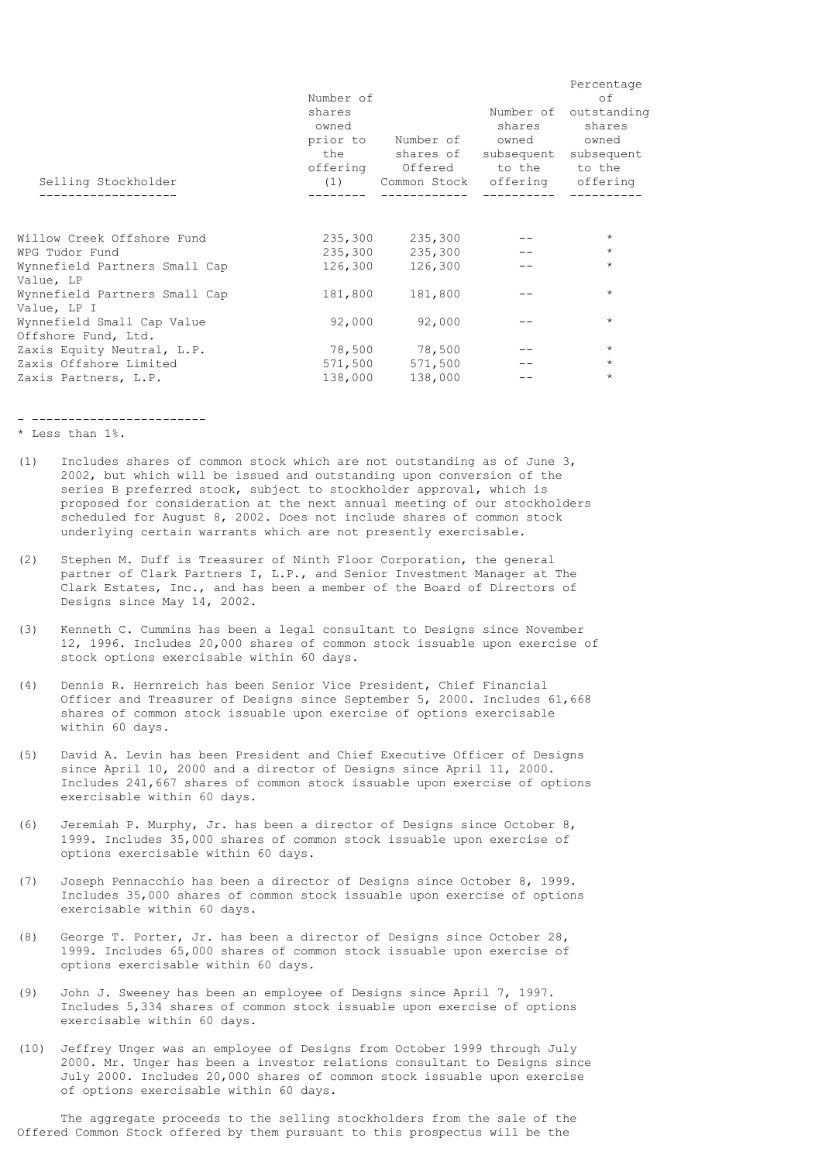| Selling Stockholder                               | Number of<br>shares<br>owned<br>prior to | Number of owned owned<br>the shares of subsequent subsequent<br>offering Offered to the to the<br>(1) Common Stock offering offering | Number of<br>shares<br>----------- | Percentage<br>οf<br>outstanding<br>shares |
|---------------------------------------------------|------------------------------------------|--------------------------------------------------------------------------------------------------------------------------------------|------------------------------------|-------------------------------------------|
| Willow Creek Offshore Fund                        | 235,300                                  | 235,300                                                                                                                              |                                    | $\star$                                   |
| WPG Tudor Fund                                    | 235,300                                  | 235,300                                                                                                                              |                                    | $\star$                                   |
| Wynnefield Partners Small Cap<br>Value, LP        | 126,300                                  | 126,300                                                                                                                              |                                    | $\star$                                   |
| Wynnefield Partners Small Cap<br>Value, LP I      | 181,800                                  | 181,800                                                                                                                              |                                    | $\star$                                   |
| Wynnefield Small Cap Value<br>Offshore Fund, Ltd. | 92,000                                   | 92,000                                                                                                                               |                                    | $\star$                                   |
| Zaxis Equity Neutral, L.P.                        |                                          | 78,500 78,500                                                                                                                        |                                    | $\star$                                   |
| Zaxis Offshore Limited                            | 571,500                                  | 571,500                                                                                                                              |                                    | $\star$                                   |
| Zaxis Partners, L.P.                              | 138,000                                  | 138,000                                                                                                                              |                                    | $\star$                                   |
|                                                   |                                          |                                                                                                                                      |                                    |                                           |

- ------------------------

\* Less than 1%.

- (1) Includes shares of common stock which are not outstanding as of June 3, 2002, but which will be issued and outstanding upon conversion of the series B preferred stock, subject to stockholder approval, which is proposed for consideration at the next annual meeting of our stockholders scheduled for August 8, 2002. Does not include shares of common stock underlying certain warrants which are not presently exercisable.
- (2) Stephen M. Duff is Treasurer of Ninth Floor Corporation, the general partner of Clark Partners I, L.P., and Senior Investment Manager at The Clark Estates, Inc., and has been a member of the Board of Directors of Designs since May 14, 2002.
- (3) Kenneth C. Cummins has been a legal consultant to Designs since November 12, 1996. Includes 20,000 shares of common stock issuable upon exercise of stock options exercisable within 60 days.
- (4) Dennis R. Hernreich has been Senior Vice President, Chief Financial Officer and Treasurer of Designs since September 5, 2000. Includes 61,668 shares of common stock issuable upon exercise of options exercisable within 60 days.
- (5) David A. Levin has been President and Chief Executive Officer of Designs since April 10, 2000 and a director of Designs since April 11, 2000. Includes 241,667 shares of common stock issuable upon exercise of options exercisable within 60 days.
- (6) Jeremiah P. Murphy, Jr. has been a director of Designs since October 8, 1999. Includes 35,000 shares of common stock issuable upon exercise of options exercisable within 60 days.
- (7) Joseph Pennacchio has been a director of Designs since October 8, 1999. Includes 35,000 shares of common stock issuable upon exercise of options exercisable within 60 days.
- (8) George T. Porter, Jr. has been a director of Designs since October 28, 1999. Includes 65,000 shares of common stock issuable upon exercise of options exercisable within 60 days.
- (9) John J. Sweeney has been an employee of Designs since April 7, 1997. Includes 5,334 shares of common stock issuable upon exercise of options exercisable within 60 days.
- (10) Jeffrey Unger was an employee of Designs from October 1999 through July 2000. Mr. Unger has been a investor relations consultant to Designs since July 2000. Includes 20,000 shares of common stock issuable upon exercise of options exercisable within 60 days.

 The aggregate proceeds to the selling stockholders from the sale of the Offered Common Stock offered by them pursuant to this prospectus will be the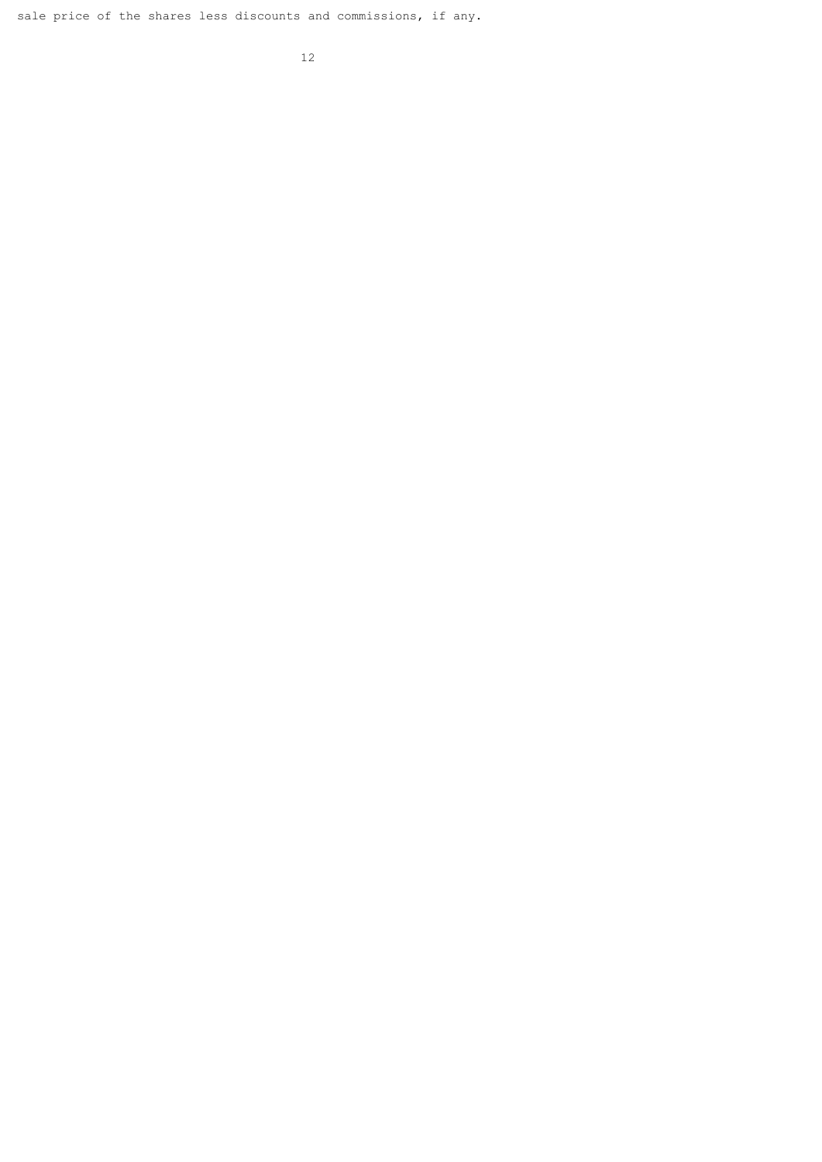sale price of the shares less discounts and commissions, if any.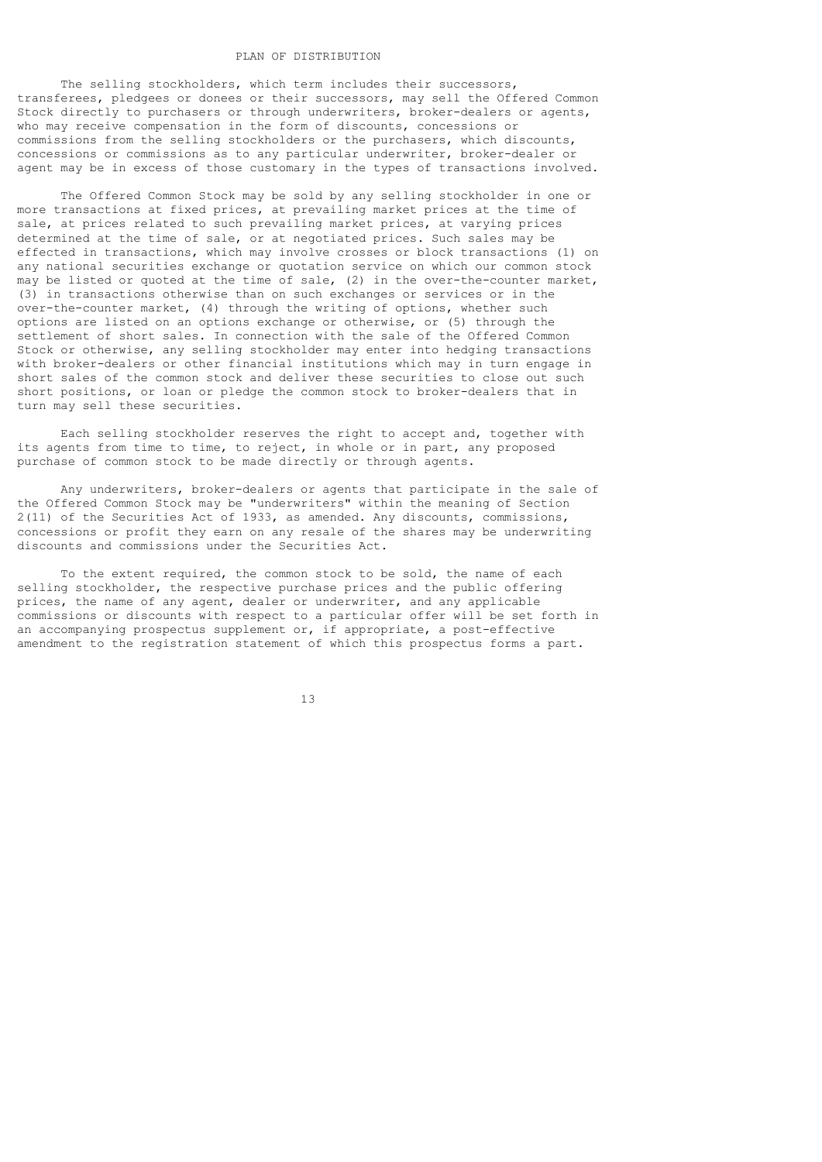# PLAN OF DISTRIBUTION

 The selling stockholders, which term includes their successors, transferees, pledgees or donees or their successors, may sell the Offered Common Stock directly to purchasers or through underwriters, broker-dealers or agents, who may receive compensation in the form of discounts, concessions or commissions from the selling stockholders or the purchasers, which discounts, concessions or commissions as to any particular underwriter, broker-dealer or agent may be in excess of those customary in the types of transactions involved.

 The Offered Common Stock may be sold by any selling stockholder in one or more transactions at fixed prices, at prevailing market prices at the time of sale, at prices related to such prevailing market prices, at varying prices determined at the time of sale, or at negotiated prices. Such sales may be effected in transactions, which may involve crosses or block transactions (1) on any national securities exchange or quotation service on which our common stock may be listed or quoted at the time of sale, (2) in the over-the-counter market, (3) in transactions otherwise than on such exchanges or services or in the over-the-counter market, (4) through the writing of options, whether such options are listed on an options exchange or otherwise, or (5) through the settlement of short sales. In connection with the sale of the Offered Common Stock or otherwise, any selling stockholder may enter into hedging transactions with broker-dealers or other financial institutions which may in turn engage in short sales of the common stock and deliver these securities to close out such short positions, or loan or pledge the common stock to broker-dealers that in turn may sell these securities.

 Each selling stockholder reserves the right to accept and, together with its agents from time to time, to reject, in whole or in part, any proposed purchase of common stock to be made directly or through agents.

 Any underwriters, broker-dealers or agents that participate in the sale of the Offered Common Stock may be "underwriters" within the meaning of Section 2(11) of the Securities Act of 1933, as amended. Any discounts, commissions, concessions or profit they earn on any resale of the shares may be underwriting discounts and commissions under the Securities Act.

 To the extent required, the common stock to be sold, the name of each selling stockholder, the respective purchase prices and the public offering prices, the name of any agent, dealer or underwriter, and any applicable commissions or discounts with respect to a particular offer will be set forth in an accompanying prospectus supplement or, if appropriate, a post-effective amendment to the registration statement of which this prospectus forms a part.

13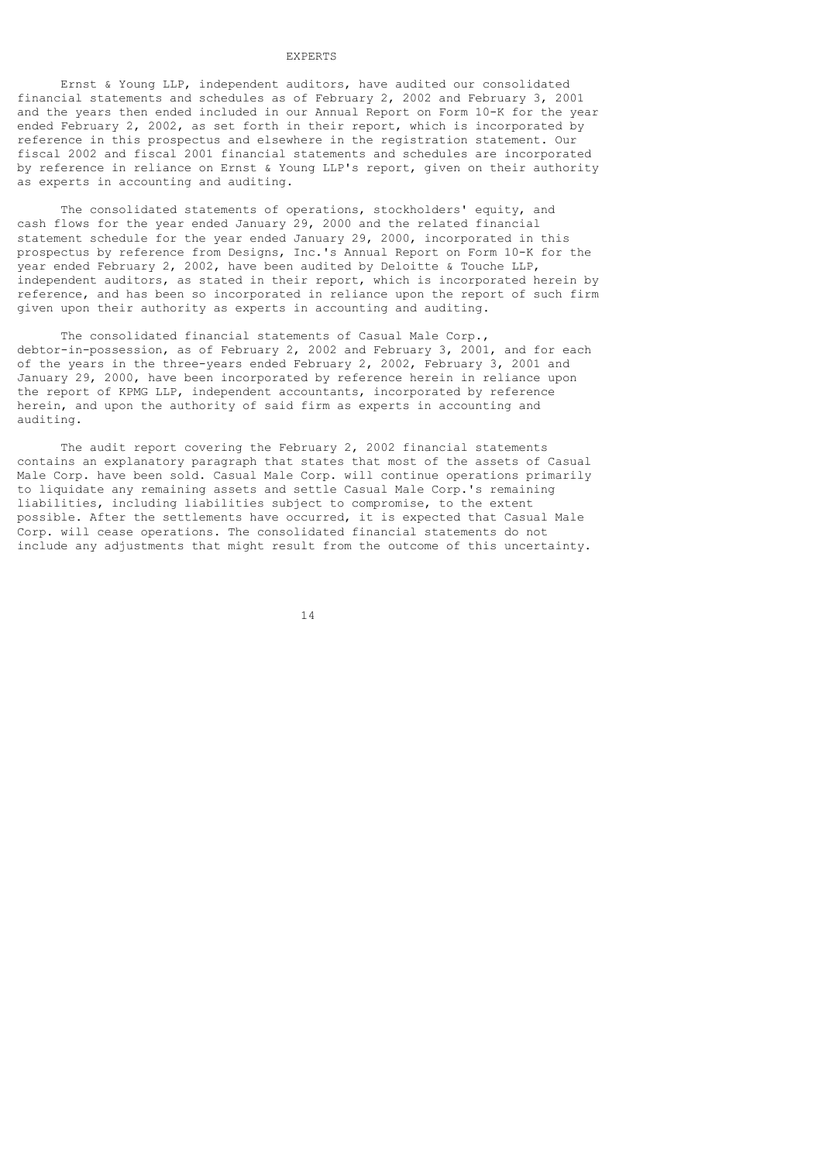## EXPERTS

 Ernst & Young LLP, independent auditors, have audited our consolidated financial statements and schedules as of February 2, 2002 and February 3, 2001 and the years then ended included in our Annual Report on Form 10-K for the year ended February 2, 2002, as set forth in their report, which is incorporated by reference in this prospectus and elsewhere in the registration statement. Our fiscal 2002 and fiscal 2001 financial statements and schedules are incorporated by reference in reliance on Ernst & Young LLP's report, given on their authority as experts in accounting and auditing.

 The consolidated statements of operations, stockholders' equity, and cash flows for the year ended January 29, 2000 and the related financial statement schedule for the year ended January 29, 2000, incorporated in this prospectus by reference from Designs, Inc.'s Annual Report on Form 10-K for the year ended February 2, 2002, have been audited by Deloitte & Touche LLP, independent auditors, as stated in their report, which is incorporated herein by reference, and has been so incorporated in reliance upon the report of such firm given upon their authority as experts in accounting and auditing.

 The consolidated financial statements of Casual Male Corp., debtor-in-possession, as of February 2, 2002 and February 3, 2001, and for each of the years in the three-years ended February 2, 2002, February 3, 2001 and January 29, 2000, have been incorporated by reference herein in reliance upon the report of KPMG LLP, independent accountants, incorporated by reference herein, and upon the authority of said firm as experts in accounting and auditing.

 The audit report covering the February 2, 2002 financial statements contains an explanatory paragraph that states that most of the assets of Casual Male Corp. have been sold. Casual Male Corp. will continue operations primarily to liquidate any remaining assets and settle Casual Male Corp.'s remaining liabilities, including liabilities subject to compromise, to the extent possible. After the settlements have occurred, it is expected that Casual Male Corp. will cease operations. The consolidated financial statements do not include any adjustments that might result from the outcome of this uncertainty.

14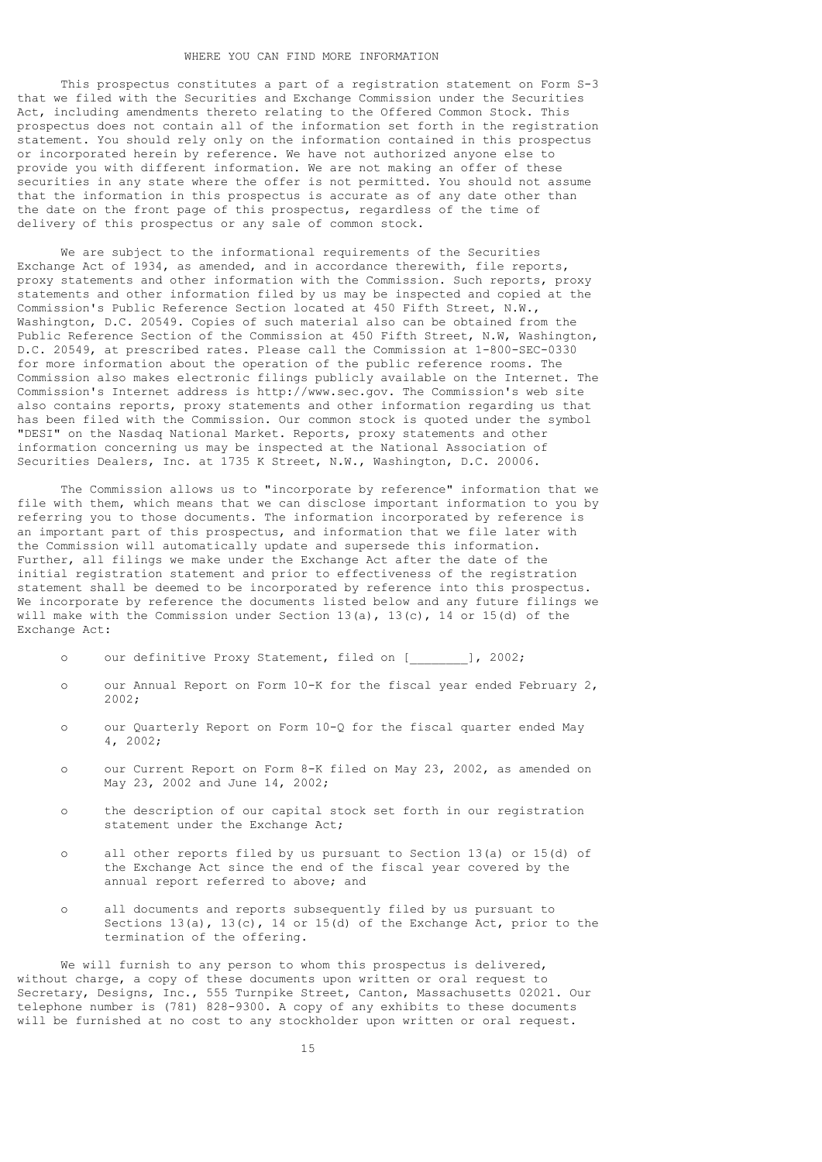### WHERE YOU CAN FIND MORE INFORMATION

 This prospectus constitutes a part of a registration statement on Form S-3 that we filed with the Securities and Exchange Commission under the Securities Act, including amendments thereto relating to the Offered Common Stock. This prospectus does not contain all of the information set forth in the registration statement. You should rely only on the information contained in this prospectus or incorporated herein by reference. We have not authorized anyone else to provide you with different information. We are not making an offer of these securities in any state where the offer is not permitted. You should not assume that the information in this prospectus is accurate as of any date other than the date on the front page of this prospectus, regardless of the time of delivery of this prospectus or any sale of common stock.

 We are subject to the informational requirements of the Securities Exchange Act of 1934, as amended, and in accordance therewith, file reports, proxy statements and other information with the Commission. Such reports, proxy statements and other information filed by us may be inspected and copied at the Commission's Public Reference Section located at 450 Fifth Street, N.W., Washington, D.C. 20549. Copies of such material also can be obtained from the Public Reference Section of the Commission at 450 Fifth Street, N.W, Washington, D.C. 20549, at prescribed rates. Please call the Commission at 1-800-SEC-0330 for more information about the operation of the public reference rooms. The Commission also makes electronic filings publicly available on the Internet. The Commission's Internet address is http://www.sec.gov. The Commission's web site also contains reports, proxy statements and other information regarding us that has been filed with the Commission. Our common stock is quoted under the symbol "DESI" on the Nasdaq National Market. Reports, proxy statements and other information concerning us may be inspected at the National Association of Securities Dealers, Inc. at 1735 K Street, N.W., Washington, D.C. 20006.

 The Commission allows us to "incorporate by reference" information that we file with them, which means that we can disclose important information to you by referring you to those documents. The information incorporated by reference is an important part of this prospectus, and information that we file later with the Commission will automatically update and supersede this information. Further, all filings we make under the Exchange Act after the date of the initial registration statement and prior to effectiveness of the registration statement shall be deemed to be incorporated by reference into this prospectus. We incorporate by reference the documents listed below and any future filings we will make with the Commission under Section  $13(a)$ ,  $13(c)$ ,  $14$  or  $15(d)$  of the Exchange Act:

- o our definitive Proxy Statement, filed on [\_\_\_\_\_\_\_\_], 2002;
- o our Annual Report on Form 10-K for the fiscal year ended February 2, 2002;
- o our Quarterly Report on Form 10-Q for the fiscal quarter ended May 4, 2002;
- o our Current Report on Form 8-K filed on May 23, 2002, as amended on May 23, 2002 and June 14, 2002;
- o the description of our capital stock set forth in our registration statement under the Exchange Act;
- o all other reports filed by us pursuant to Section 13(a) or 15(d) of the Exchange Act since the end of the fiscal year covered by the annual report referred to above; and
- o all documents and reports subsequently filed by us pursuant to Sections  $13(a)$ ,  $13(c)$ ,  $14$  or  $15(d)$  of the Exchange Act, prior to the termination of the offering.

We will furnish to any person to whom this prospectus is delivered, without charge, a copy of these documents upon written or oral request to Secretary, Designs, Inc., 555 Turnpike Street, Canton, Massachusetts 02021. Our telephone number is (781) 828-9300. A copy of any exhibits to these documents will be furnished at no cost to any stockholder upon written or oral request.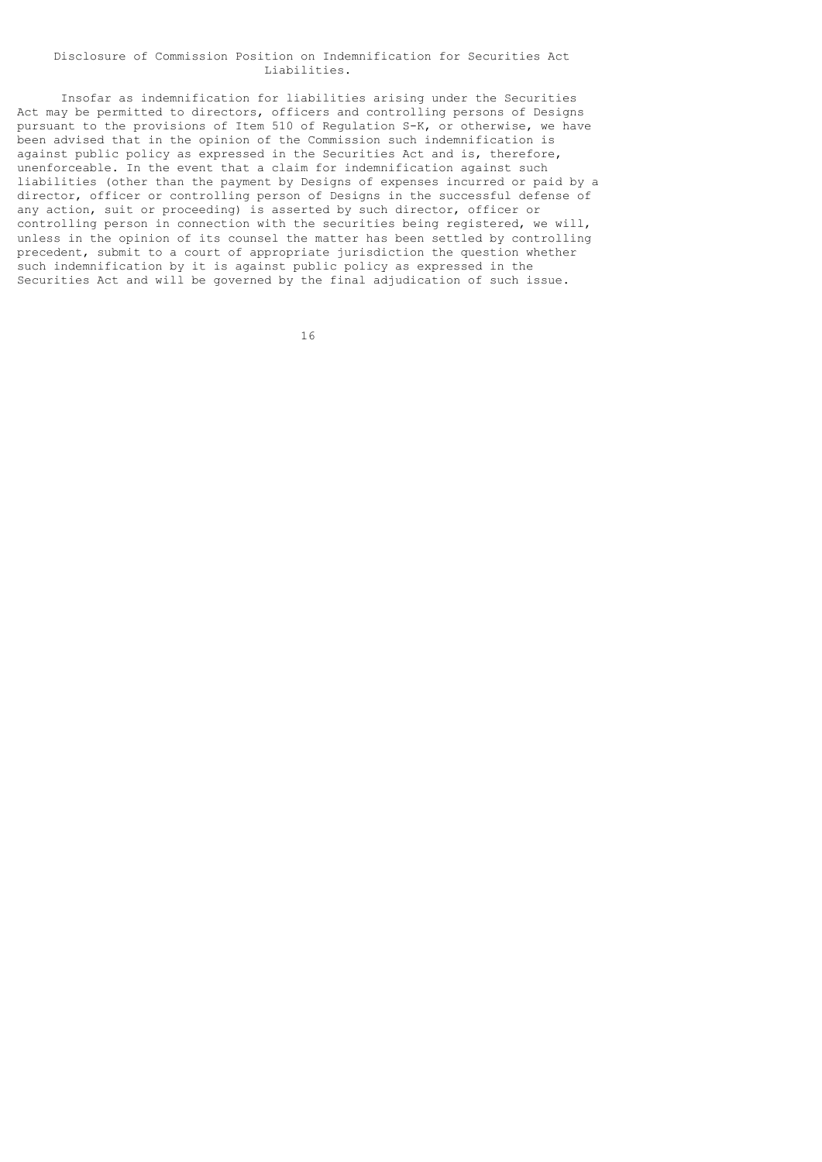### Disclosure of Commission Position on Indemnification for Securities Act Liabilities.

 Insofar as indemnification for liabilities arising under the Securities Act may be permitted to directors, officers and controlling persons of Designs pursuant to the provisions of Item 510 of Regulation S-K, or otherwise, we have been advised that in the opinion of the Commission such indemnification is against public policy as expressed in the Securities Act and is, therefore, unenforceable. In the event that a claim for indemnification against such liabilities (other than the payment by Designs of expenses incurred or paid by a director, officer or controlling person of Designs in the successful defense of any action, suit or proceeding) is asserted by such director, officer or controlling person in connection with the securities being registered, we will, unless in the opinion of its counsel the matter has been settled by controlling precedent, submit to a court of appropriate jurisdiction the question whether such indemnification by it is against public policy as expressed in the Securities Act and will be governed by the final adjudication of such issue.

16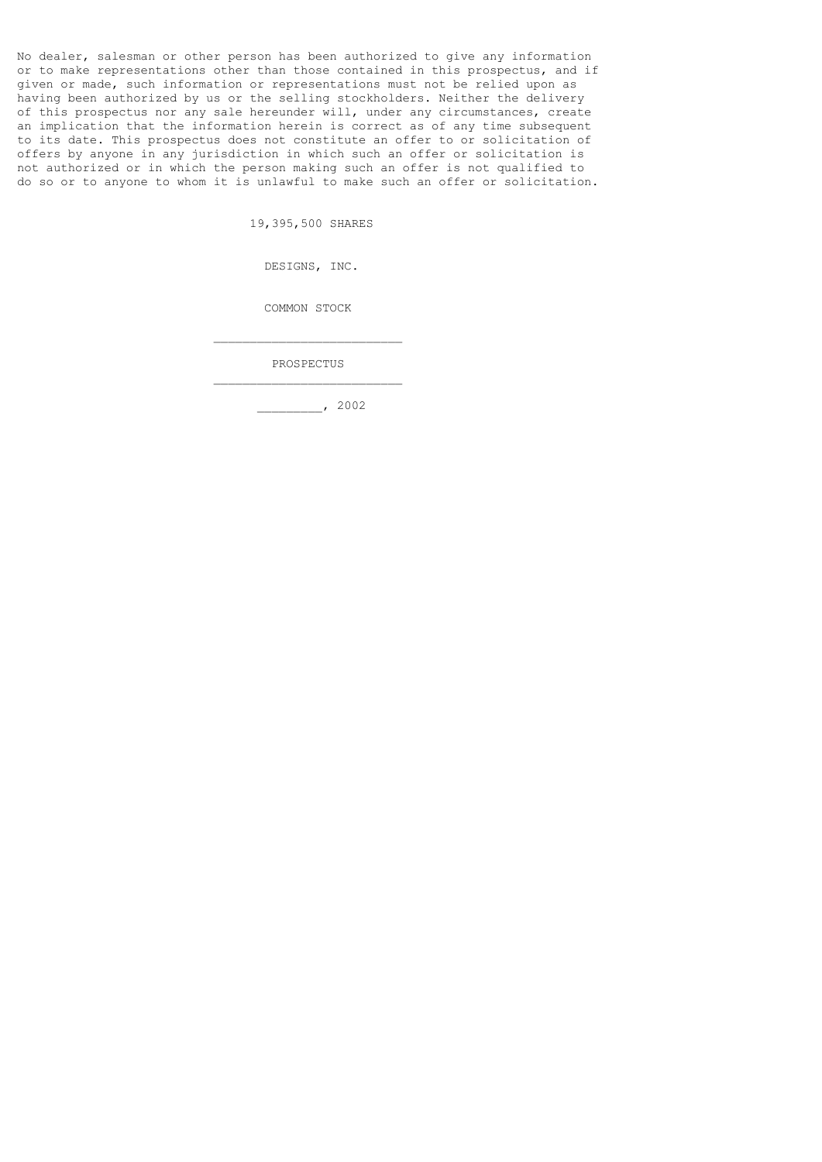No dealer, salesman or other person has been authorized to give any information or to make representations other than those contained in this prospectus, and if given or made, such information or representations must not be relied upon as having been authorized by us or the selling stockholders. Neither the delivery of this prospectus nor any sale hereunder will, under any circumstances, create an implication that the information herein is correct as of any time subsequent to its date. This prospectus does not constitute an offer to or solicitation of offers by anyone in any jurisdiction in which such an offer or solicitation is not authorized or in which the person making such an offer is not qualified to do so or to anyone to whom it is unlawful to make such an offer or solicitation.

19,395,500 SHARES

DESIGNS, INC.

COMMON STOCK

PROSPECTUS

 $\mathcal{L}_\text{max}$  and  $\mathcal{L}_\text{max}$  and  $\mathcal{L}_\text{max}$  are the contract of the contract of the contract of the contract of the contract of the contract of the contract of the contract of the contract of the contract of the con

 $\mathcal{L}_\text{max}$  and  $\mathcal{L}_\text{max}$  and  $\mathcal{L}_\text{max}$  are the contract of the contract of the contract of the contract of the contract of the contract of the contract of the contract of the contract of the contract of the con

\_\_\_\_\_\_\_\_\_, 2002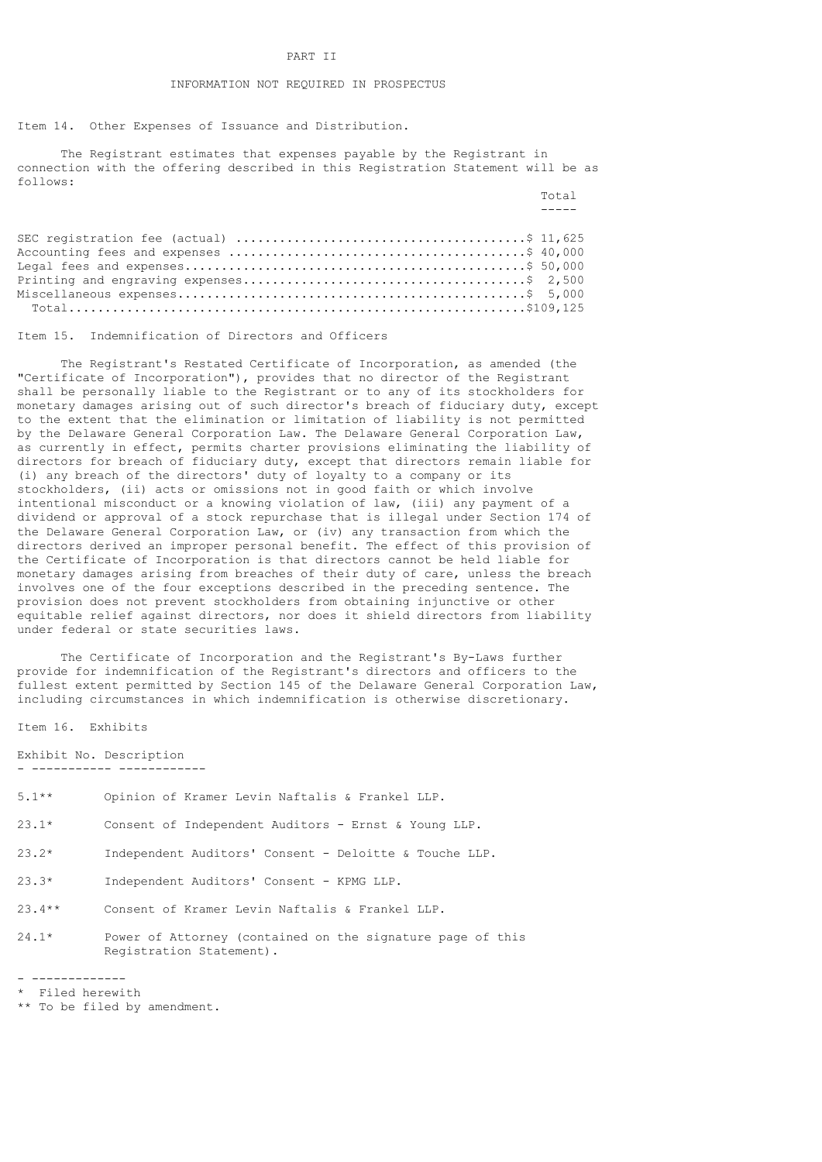# PART II

# INFORMATION NOT REQUIRED IN PROSPECTUS

Item 14. Other Expenses of Issuance and Distribution.

 The Registrant estimates that expenses payable by the Registrant in connection with the offering described in this Registration Statement will be as follows:

**Total** Section 2014 12:30 and 2014 12:30 and 2014 12:30 and 2014 12:30 and 2014 12:30 and 2014 12:30 and 2014 12:30 and 2014 12:30 and 2014 12:30 and 2014 12:30 and 2014 12:30 and 2014 12:30 and 2014 12:30 and 2014 12:30

Item 15. Indemnification of Directors and Officers

 The Registrant's Restated Certificate of Incorporation, as amended (the "Certificate of Incorporation"), provides that no director of the Registrant shall be personally liable to the Registrant or to any of its stockholders for monetary damages arising out of such director's breach of fiduciary duty, except to the extent that the elimination or limitation of liability is not permitted by the Delaware General Corporation Law. The Delaware General Corporation Law, as currently in effect, permits charter provisions eliminating the liability of directors for breach of fiduciary duty, except that directors remain liable for (i) any breach of the directors' duty of loyalty to a company or its stockholders, (ii) acts or omissions not in good faith or which involve intentional misconduct or a knowing violation of law, (iii) any payment of a dividend or approval of a stock repurchase that is illegal under Section 174 of the Delaware General Corporation Law, or (iv) any transaction from which the directors derived an improper personal benefit. The effect of this provision of the Certificate of Incorporation is that directors cannot be held liable for monetary damages arising from breaches of their duty of care, unless the breach involves one of the four exceptions described in the preceding sentence. The provision does not prevent stockholders from obtaining injunctive or other equitable relief against directors, nor does it shield directors from liability under federal or state securities laws.

 The Certificate of Incorporation and the Registrant's By-Laws further provide for indemnification of the Registrant's directors and officers to the fullest extent permitted by Section 145 of the Delaware General Corporation Law, including circumstances in which indemnification is otherwise discretionary.

Item 16. Exhibits

Exhibit No. Description - ----------- ------------

- 5.1\*\* Opinion of Kramer Levin Naftalis & Frankel LLP.
- 23.1\* Consent of Independent Auditors Ernst & Young LLP.
- 23.2\* Independent Auditors' Consent Deloitte & Touche LLP.
- 23.3\* Independent Auditors' Consent KPMG LLP.
- 23.4\*\* Consent of Kramer Levin Naftalis & Frankel LLP.
- 24.1\* Power of Attorney (contained on the signature page of this Registration Statement).

<sup>- -------------</sup>

<sup>\*</sup> Filed herewith

<sup>\*\*</sup> To be filed by amendment.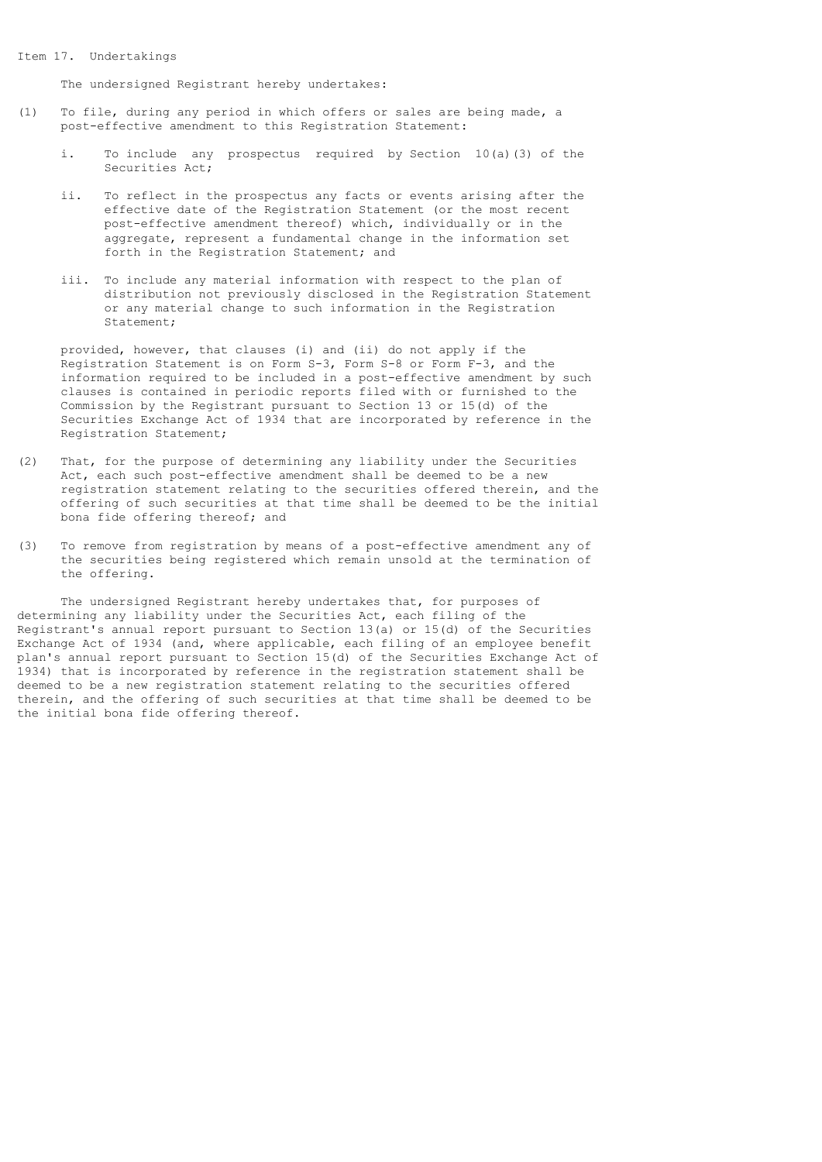#### Item 17. Undertakings

The undersigned Registrant hereby undertakes:

- (1) To file, during any period in which offers or sales are being made, a post-effective amendment to this Registration Statement:
	- i. To include any prospectus required by Section 10(a)(3) of the Securities Act;
	- ii. To reflect in the prospectus any facts or events arising after the effective date of the Registration Statement (or the most recent post-effective amendment thereof) which, individually or in the aggregate, represent a fundamental change in the information set forth in the Registration Statement; and
	- iii. To include any material information with respect to the plan of distribution not previously disclosed in the Registration Statement or any material change to such information in the Registration Statement;

 provided, however, that clauses (i) and (ii) do not apply if the Registration Statement is on Form S-3, Form S-8 or Form F-3, and the information required to be included in a post-effective amendment by such clauses is contained in periodic reports filed with or furnished to the Commission by the Registrant pursuant to Section 13 or 15(d) of the Securities Exchange Act of 1934 that are incorporated by reference in the Registration Statement;

- (2) That, for the purpose of determining any liability under the Securities Act, each such post-effective amendment shall be deemed to be a new registration statement relating to the securities offered therein, and the offering of such securities at that time shall be deemed to be the initial bona fide offering thereof; and
- (3) To remove from registration by means of a post-effective amendment any of the securities being registered which remain unsold at the termination of the offering.

 The undersigned Registrant hereby undertakes that, for purposes of determining any liability under the Securities Act, each filing of the Registrant's annual report pursuant to Section 13(a) or 15(d) of the Securities Exchange Act of 1934 (and, where applicable, each filing of an employee benefit plan's annual report pursuant to Section 15(d) of the Securities Exchange Act of 1934) that is incorporated by reference in the registration statement shall be deemed to be a new registration statement relating to the securities offered therein, and the offering of such securities at that time shall be deemed to be the initial bona fide offering thereof.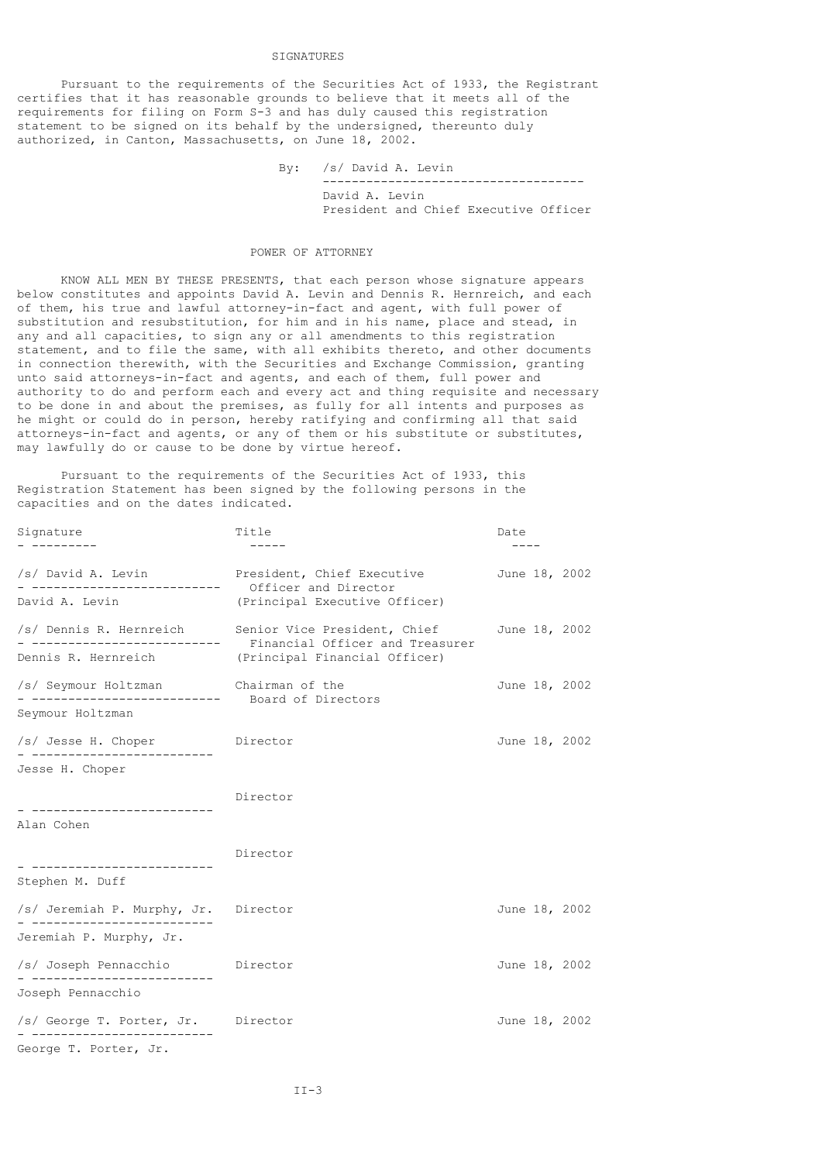# SIGNATURES

 Pursuant to the requirements of the Securities Act of 1933, the Registrant certifies that it has reasonable grounds to believe that it meets all of the requirements for filing on Form S-3 and has duly caused this registration statement to be signed on its behalf by the undersigned, thereunto duly authorized, in Canton, Massachusetts, on June 18, 2002.

> By: /s/ David A. Levin ------------------------------------ David A. Levin President and Chief Executive Officer

### POWER OF ATTORNEY

 KNOW ALL MEN BY THESE PRESENTS, that each person whose signature appears below constitutes and appoints David A. Levin and Dennis R. Hernreich, and each of them, his true and lawful attorney-in-fact and agent, with full power of substitution and resubstitution, for him and in his name, place and stead, in any and all capacities, to sign any or all amendments to this registration statement, and to file the same, with all exhibits thereto, and other documents in connection therewith, with the Securities and Exchange Commission, granting unto said attorneys-in-fact and agents, and each of them, full power and authority to do and perform each and every act and thing requisite and necessary to be done in and about the premises, as fully for all intents and purposes as he might or could do in person, hereby ratifying and confirming all that said attorneys-in-fact and agents, or any of them or his substitute or substitutes, may lawfully do or cause to be done by virtue hereof.

 Pursuant to the requirements of the Securities Act of 1933, this Registration Statement has been signed by the following persons in the capacities and on the dates indicated.

| Signature                                                                               | Title                                                                                                                             | Date          |  |
|-----------------------------------------------------------------------------------------|-----------------------------------------------------------------------------------------------------------------------------------|---------------|--|
|                                                                                         | /s/ David A. Levin Fresident, Chief Executive                                                                                     | June 18, 2002 |  |
| - -------------------------- Officer and Director<br>David A. Levin                     | (Principal Executive Officer)                                                                                                     |               |  |
|                                                                                         | /s/ Dennis R. Hernreich Senior Vice President, Chief June 18, 2002<br>- ------------------------- Financial Officer and Treasurer |               |  |
|                                                                                         | Dennis R. Hernreich (Principal Financial Officer)                                                                                 |               |  |
| /s/ Seymour Holtzman Chairman of the<br>- -------------------------- Board of Directors |                                                                                                                                   | June 18, 2002 |  |
| Seymour Holtzman                                                                        |                                                                                                                                   |               |  |
| /s/ Jesse H. Choper Director<br>- --------------------------                            |                                                                                                                                   | June 18, 2002 |  |
| Jesse H. Choper                                                                         |                                                                                                                                   |               |  |
|                                                                                         | Director                                                                                                                          |               |  |
| Alan Cohen                                                                              |                                                                                                                                   |               |  |
|                                                                                         | Director                                                                                                                          |               |  |
| Stephen M. Duff                                                                         |                                                                                                                                   |               |  |
| /s/ Jeremiah P. Murphy, Jr. Director<br>- -------------------------                     |                                                                                                                                   | June 18, 2002 |  |
| Jeremiah P. Murphy, Jr.                                                                 |                                                                                                                                   |               |  |
| /s/ Joseph Pennacchio Director                                                          |                                                                                                                                   | June 18, 2002 |  |
| Joseph Pennacchio                                                                       |                                                                                                                                   |               |  |
| /s/ George T. Porter, Jr. Director                                                      |                                                                                                                                   | June 18, 2002 |  |
| George T. Porter, Jr.                                                                   |                                                                                                                                   |               |  |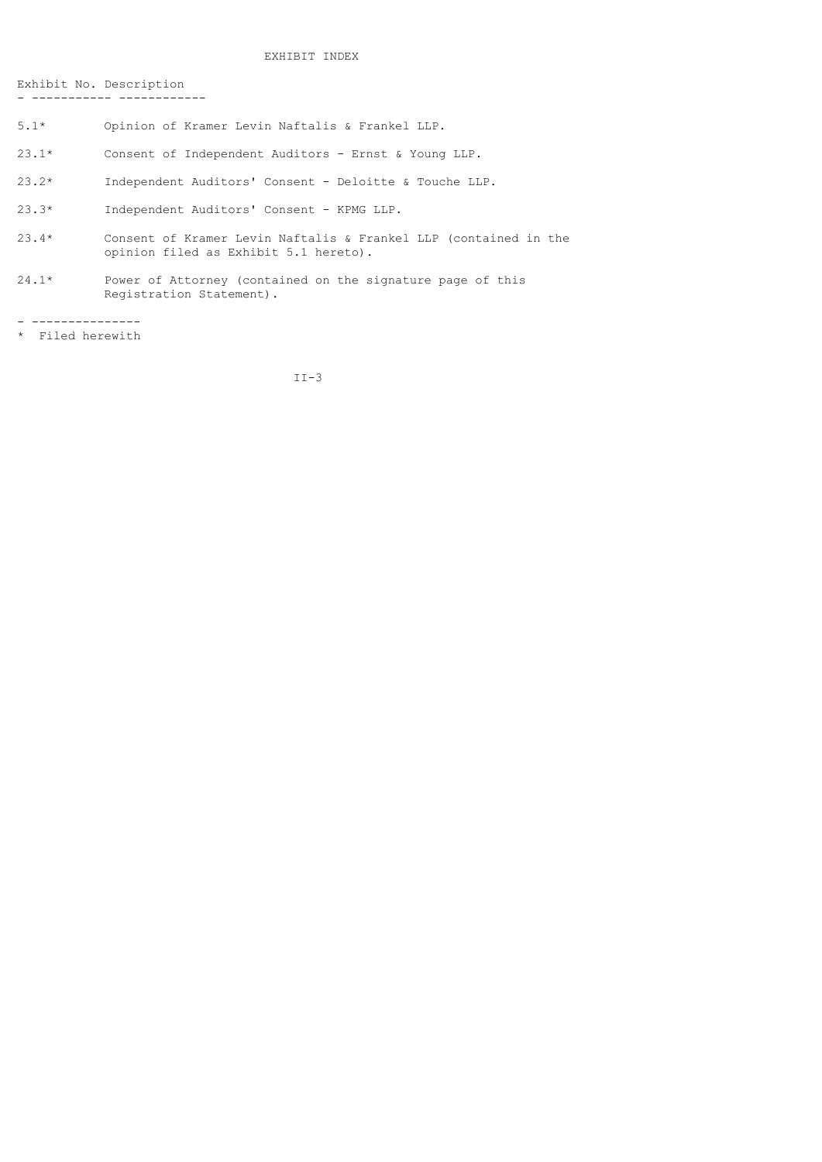# EXHIBIT INDEX

Exhibit No. Description - ----------- ------------

- 5.1\* Opinion of Kramer Levin Naftalis & Frankel LLP.
- 23.1\* Consent of Independent Auditors Ernst & Young LLP.
- 23.2\* Independent Auditors' Consent Deloitte & Touche LLP.
- 23.3\* Independent Auditors' Consent KPMG LLP.
- 23.4\* Consent of Kramer Levin Naftalis & Frankel LLP (contained in the opinion filed as Exhibit 5.1 hereto).
- 24.1\* Power of Attorney (contained on the signature page of this Registration Statement).

- ---------------

\* Filed herewith

II-3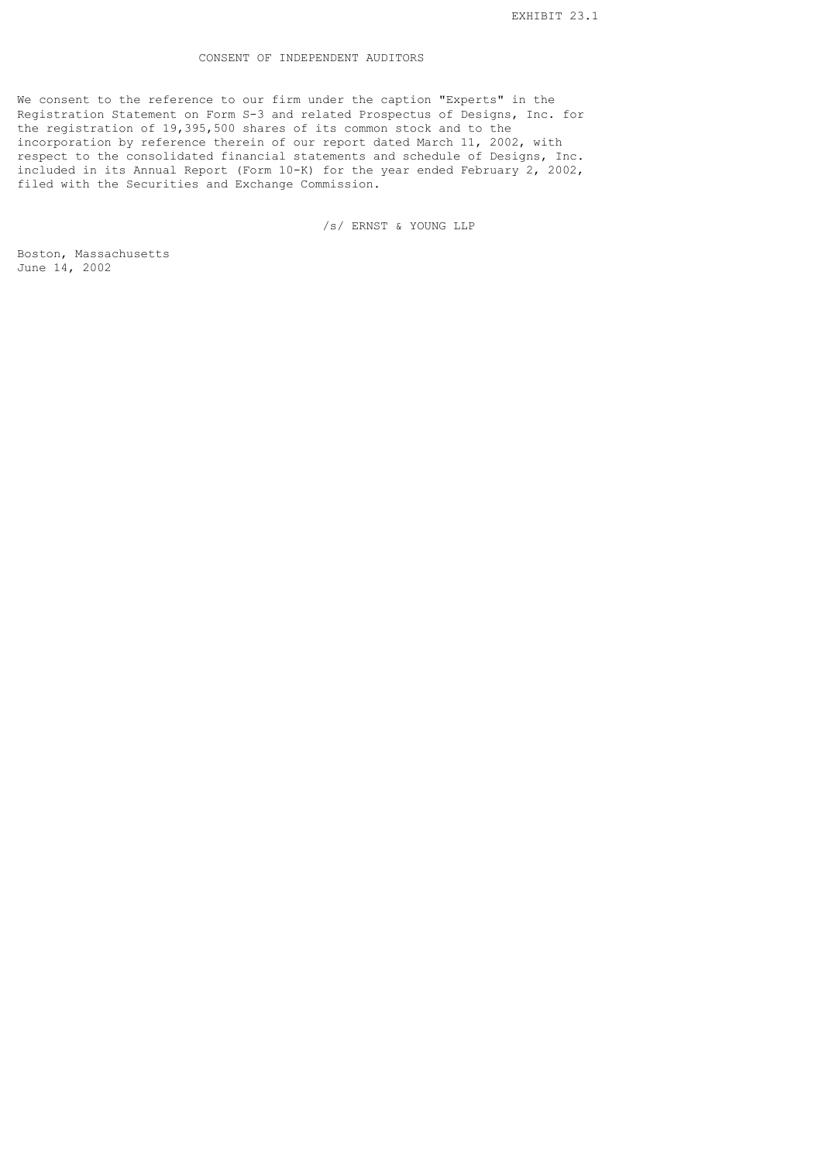# CONSENT OF INDEPENDENT AUDITORS

We consent to the reference to our firm under the caption "Experts" in the Registration Statement on Form S-3 and related Prospectus of Designs, Inc. for the registration of 19,395,500 shares of its common stock and to the incorporation by reference therein of our report dated March 11, 2002, with respect to the consolidated financial statements and schedule of Designs, Inc. included in its Annual Report (Form 10-K) for the year ended February 2, 2002, filed with the Securities and Exchange Commission.

/s/ ERNST & YOUNG LLP

Boston, Massachusetts June 14, 2002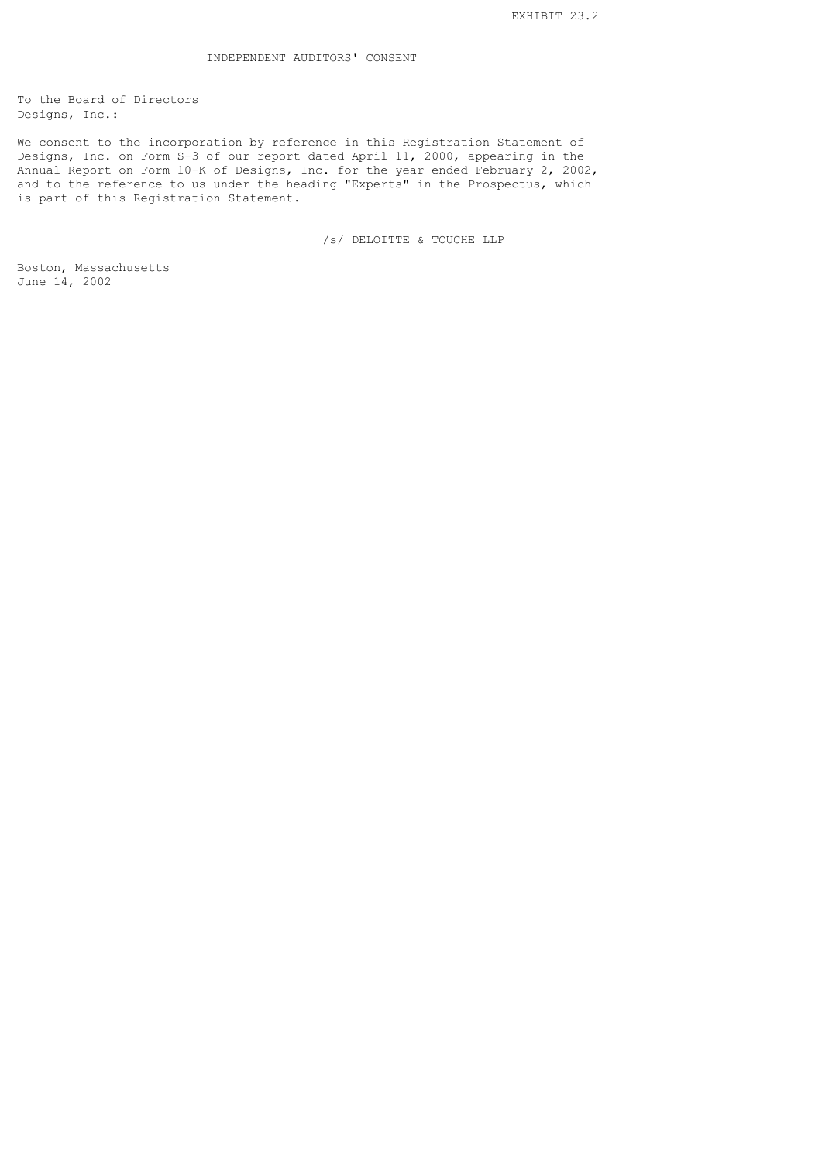To the Board of Directors Designs, Inc.:

We consent to the incorporation by reference in this Registration Statement of Designs, Inc. on Form S-3 of our report dated April 11, 2000, appearing in the Annual Report on Form 10-K of Designs, Inc. for the year ended February 2, 2002, and to the reference to us under the heading "Experts" in the Prospectus, which is part of this Registration Statement.

/s/ DELOITTE & TOUCHE LLP

Boston, Massachusetts June 14, 2002